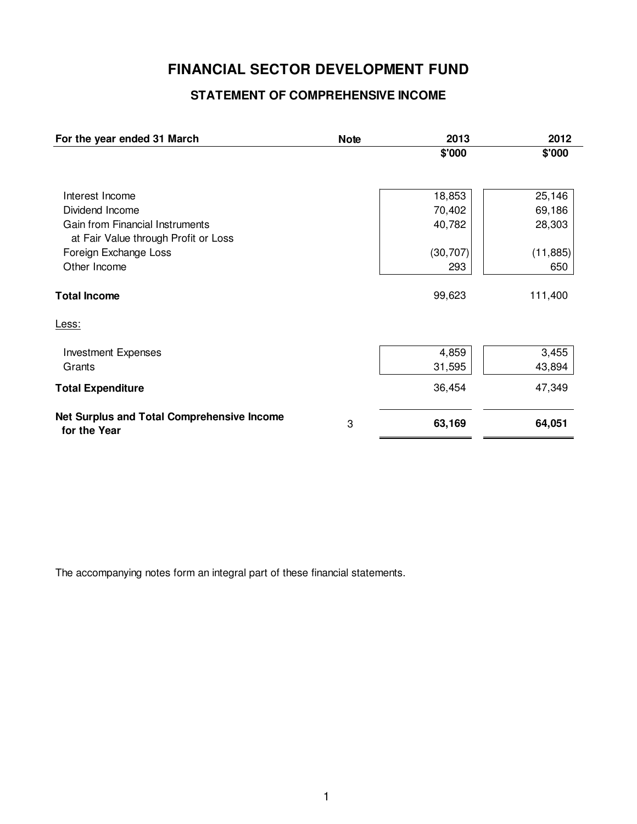# **FINANCIAL SECTOR DEVELOPMENT FUND**

## **STATEMENT OF COMPREHENSIVE INCOME**

| For the year ended 31 March                                | <b>Note</b> | 2013      | 2012      |
|------------------------------------------------------------|-------------|-----------|-----------|
|                                                            |             | \$'000    | \$'000    |
|                                                            |             |           |           |
| Interest Income                                            |             | 18,853    | 25,146    |
| Dividend Income                                            |             | 70,402    | 69,186    |
| <b>Gain from Financial Instruments</b>                     |             | 40,782    | 28,303    |
| at Fair Value through Profit or Loss                       |             |           |           |
| Foreign Exchange Loss                                      |             | (30, 707) | (11, 885) |
| Other Income                                               |             | 293       | 650       |
| <b>Total Income</b>                                        |             | 99,623    | 111,400   |
| Less:                                                      |             |           |           |
| <b>Investment Expenses</b>                                 |             | 4,859     | 3,455     |
| Grants                                                     |             | 31,595    | 43,894    |
| <b>Total Expenditure</b>                                   |             | 36,454    | 47,349    |
| Net Surplus and Total Comprehensive Income<br>for the Year | 3           | 63,169    | 64,051    |

The accompanying notes form an integral part of these financial statements.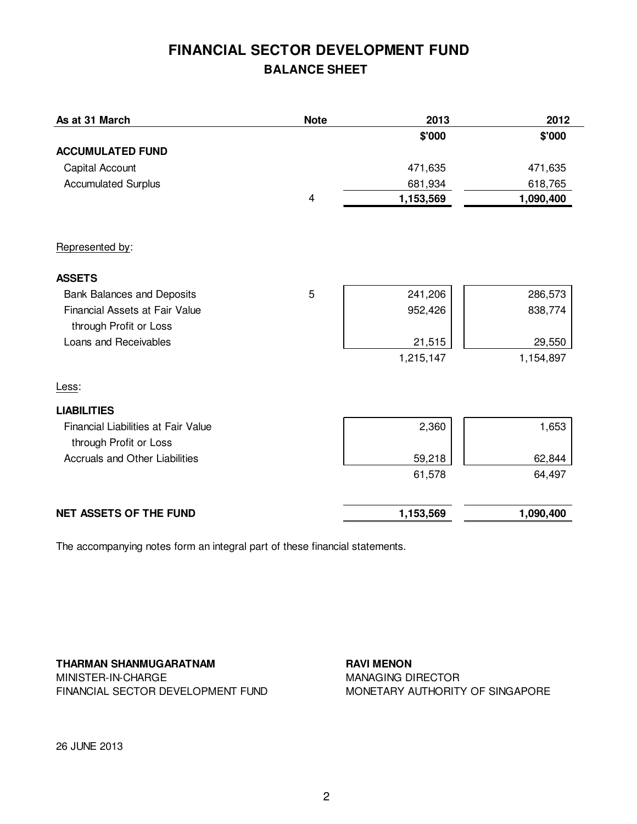# **FINANCIAL SECTOR DEVELOPMENT FUND BALANCE SHEET**

| As at 31 March                        | <b>Note</b> | 2013      | 2012      |
|---------------------------------------|-------------|-----------|-----------|
|                                       |             | \$'000    | \$'000    |
| <b>ACCUMULATED FUND</b>               |             |           |           |
| Capital Account                       |             | 471,635   | 471,635   |
| <b>Accumulated Surplus</b>            |             | 681,934   | 618,765   |
|                                       | 4           | 1,153,569 | 1,090,400 |
| Represented by:                       |             |           |           |
| <b>ASSETS</b>                         |             |           |           |
| <b>Bank Balances and Deposits</b>     | 5           | 241,206   | 286,573   |
| Financial Assets at Fair Value        |             | 952,426   | 838,774   |
| through Profit or Loss                |             |           |           |
| Loans and Receivables                 |             | 21,515    | 29,550    |
|                                       |             | 1,215,147 | 1,154,897 |
| Less:                                 |             |           |           |
| <b>LIABILITIES</b>                    |             |           |           |
| Financial Liabilities at Fair Value   |             | 2,360     | 1,653     |
| through Profit or Loss                |             |           |           |
| <b>Accruals and Other Liabilities</b> |             | 59,218    | 62,844    |
|                                       |             | 61,578    | 64,497    |
| <b>NET ASSETS OF THE FUND</b>         |             | 1,153,569 | 1,090,400 |

The accompanying notes form an integral part of these financial statements.

**THARMAN SHANMUGARATNAM** MINISTER-IN-CHARGE FINANCIAL SECTOR DEVELOPMENT FUND **RAVI MENON** MANAGING DIRECTOR MONETARY AUTHORITY OF SINGAPORE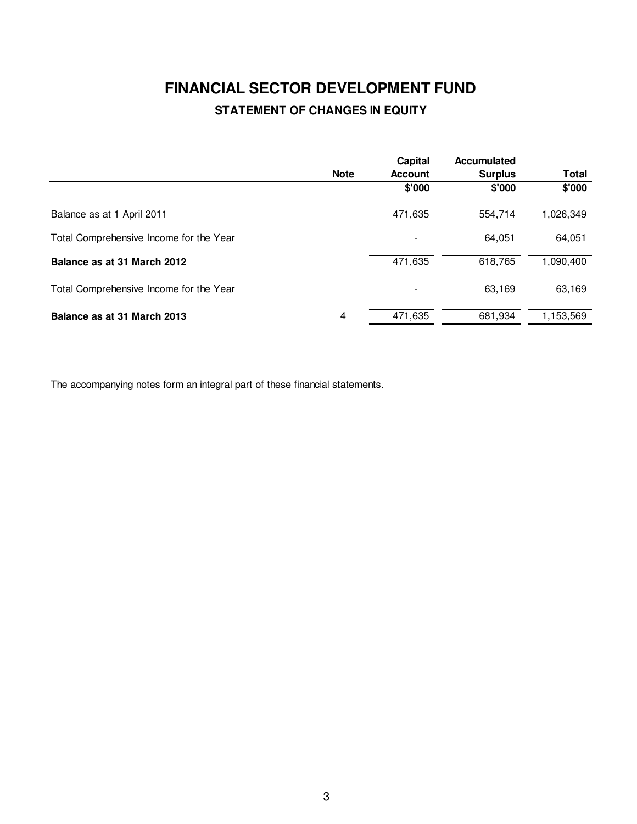# **FINANCIAL SECTOR DEVELOPMENT FUND STATEMENT OF CHANGES IN EQUITY**

|                                         |             | Capital                  | <b>Accumulated</b> |              |
|-----------------------------------------|-------------|--------------------------|--------------------|--------------|
|                                         | <b>Note</b> | <b>Account</b>           | <b>Surplus</b>     | <b>Total</b> |
|                                         |             | \$'000                   | \$'000             | \$'000       |
| Balance as at 1 April 2011              |             | 471,635                  | 554.714            | 1,026,349    |
| Total Comprehensive Income for the Year |             | ۰                        | 64.051             | 64,051       |
| Balance as at 31 March 2012             |             | 471,635                  | 618,765            | 1,090,400    |
| Total Comprehensive Income for the Year |             | $\overline{\phantom{a}}$ | 63,169             | 63,169       |
| Balance as at 31 March 2013             | 4           | 471,635                  | 681,934            | 1,153,569    |

The accompanying notes form an integral part of these financial statements.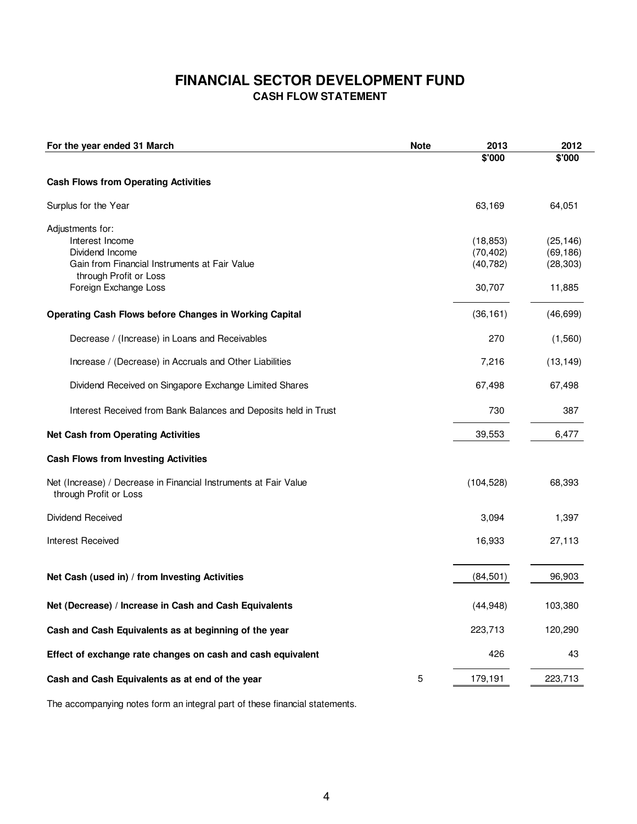## **FINANCIAL SECTOR DEVELOPMENT FUND CASH FLOW STATEMENT**

| For the year ended 31 March                                                                                                                                | <b>Note</b> | 2013                                          | 2012                                          |
|------------------------------------------------------------------------------------------------------------------------------------------------------------|-------------|-----------------------------------------------|-----------------------------------------------|
|                                                                                                                                                            |             | \$'000                                        | \$'000                                        |
| <b>Cash Flows from Operating Activities</b>                                                                                                                |             |                                               |                                               |
| Surplus for the Year                                                                                                                                       |             | 63,169                                        | 64,051                                        |
| Adjustments for:<br>Interest Income<br>Dividend Income<br>Gain from Financial Instruments at Fair Value<br>through Profit or Loss<br>Foreign Exchange Loss |             | (18, 853)<br>(70, 402)<br>(40, 782)<br>30,707 | (25, 146)<br>(69, 186)<br>(28, 303)<br>11,885 |
| <b>Operating Cash Flows before Changes in Working Capital</b>                                                                                              |             | (36, 161)                                     | (46, 699)                                     |
| Decrease / (Increase) in Loans and Receivables                                                                                                             |             | 270                                           | (1,560)                                       |
| Increase / (Decrease) in Accruals and Other Liabilities                                                                                                    |             | 7,216                                         | (13, 149)                                     |
| Dividend Received on Singapore Exchange Limited Shares                                                                                                     |             | 67,498                                        | 67,498                                        |
| Interest Received from Bank Balances and Deposits held in Trust                                                                                            |             | 730                                           | 387                                           |
| <b>Net Cash from Operating Activities</b>                                                                                                                  |             | 39,553                                        | 6,477                                         |
| <b>Cash Flows from Investing Activities</b>                                                                                                                |             |                                               |                                               |
| Net (Increase) / Decrease in Financial Instruments at Fair Value<br>through Profit or Loss                                                                 |             | (104, 528)                                    | 68,393                                        |
| Dividend Received                                                                                                                                          |             | 3,094                                         | 1,397                                         |
| <b>Interest Received</b>                                                                                                                                   |             | 16,933                                        | 27,113                                        |
| Net Cash (used in) / from Investing Activities                                                                                                             |             | (84, 501)                                     | 96,903                                        |
| Net (Decrease) / Increase in Cash and Cash Equivalents                                                                                                     |             | (44, 948)                                     | 103,380                                       |
| Cash and Cash Equivalents as at beginning of the year                                                                                                      |             | 223,713                                       | 120,290                                       |
| Effect of exchange rate changes on cash and cash equivalent                                                                                                |             | 426                                           | 43                                            |
| Cash and Cash Equivalents as at end of the year                                                                                                            | 5           | 179,191                                       | 223,713                                       |

The accompanying notes form an integral part of these financial statements.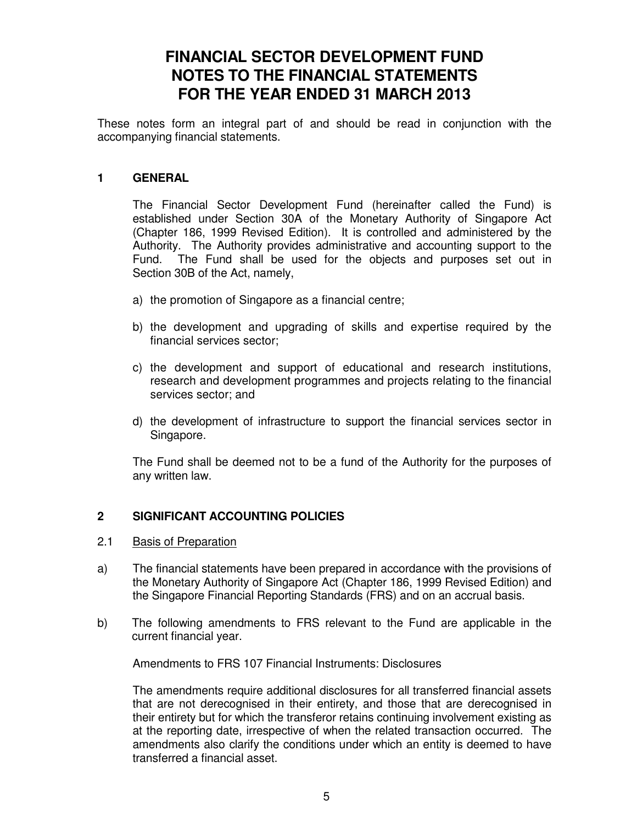# **FINANCIAL SECTOR DEVELOPMENT FUND NOTES TO THE FINANCIAL STATEMENTS FOR THE YEAR ENDED 31 MARCH 2013**

These notes form an integral part of and should be read in conjunction with the accompanying financial statements.

#### **1 GENERAL**

 The Financial Sector Development Fund (hereinafter called the Fund) is established under Section 30A of the Monetary Authority of Singapore Act (Chapter 186, 1999 Revised Edition). It is controlled and administered by the Authority. The Authority provides administrative and accounting support to the Fund. The Fund shall be used for the objects and purposes set out in Section 30B of the Act, namely,

- a) the promotion of Singapore as a financial centre;
- b) the development and upgrading of skills and expertise required by the financial services sector;
- c) the development and support of educational and research institutions, research and development programmes and projects relating to the financial services sector; and
- d) the development of infrastructure to support the financial services sector in Singapore.

The Fund shall be deemed not to be a fund of the Authority for the purposes of any written law.

#### **2 SIGNIFICANT ACCOUNTING POLICIES**

- 2.1 Basis of Preparation
- a) The financial statements have been prepared in accordance with the provisions of the Monetary Authority of Singapore Act (Chapter 186, 1999 Revised Edition) and the Singapore Financial Reporting Standards (FRS) and on an accrual basis.
- b) The following amendments to FRS relevant to the Fund are applicable in the current financial year.

Amendments to FRS 107 Financial Instruments: Disclosures

The amendments require additional disclosures for all transferred financial assets that are not derecognised in their entirety, and those that are derecognised in their entirety but for which the transferor retains continuing involvement existing as at the reporting date, irrespective of when the related transaction occurred. The amendments also clarify the conditions under which an entity is deemed to have transferred a financial asset.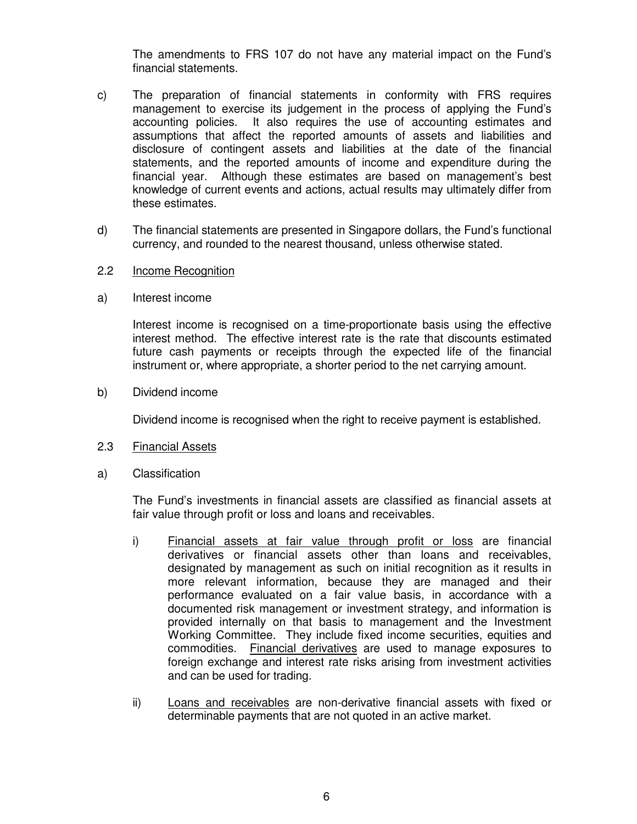The amendments to FRS 107 do not have any material impact on the Fund's financial statements.

- c) The preparation of financial statements in conformity with FRS requires management to exercise its judgement in the process of applying the Fund's accounting policies. It also requires the use of accounting estimates and assumptions that affect the reported amounts of assets and liabilities and disclosure of contingent assets and liabilities at the date of the financial statements, and the reported amounts of income and expenditure during the financial year. Although these estimates are based on management's best knowledge of current events and actions, actual results may ultimately differ from these estimates.
- d) The financial statements are presented in Singapore dollars, the Fund's functional currency, and rounded to the nearest thousand, unless otherwise stated.
- 2.2 Income Recognition
- a) Interest income

 Interest income is recognised on a time-proportionate basis using the effective interest method. The effective interest rate is the rate that discounts estimated future cash payments or receipts through the expected life of the financial instrument or, where appropriate, a shorter period to the net carrying amount.

b) Dividend income

Dividend income is recognised when the right to receive payment is established.

- 2.3 Financial Assets
- a) Classification

The Fund's investments in financial assets are classified as financial assets at fair value through profit or loss and loans and receivables.

- i) Financial assets at fair value through profit or loss are financial derivatives or financial assets other than loans and receivables, designated by management as such on initial recognition as it results in more relevant information, because they are managed and their performance evaluated on a fair value basis, in accordance with a documented risk management or investment strategy, and information is provided internally on that basis to management and the Investment Working Committee. They include fixed income securities, equities and commodities. Financial derivatives are used to manage exposures to foreign exchange and interest rate risks arising from investment activities and can be used for trading.
- ii) Loans and receivables are non-derivative financial assets with fixed or determinable payments that are not quoted in an active market.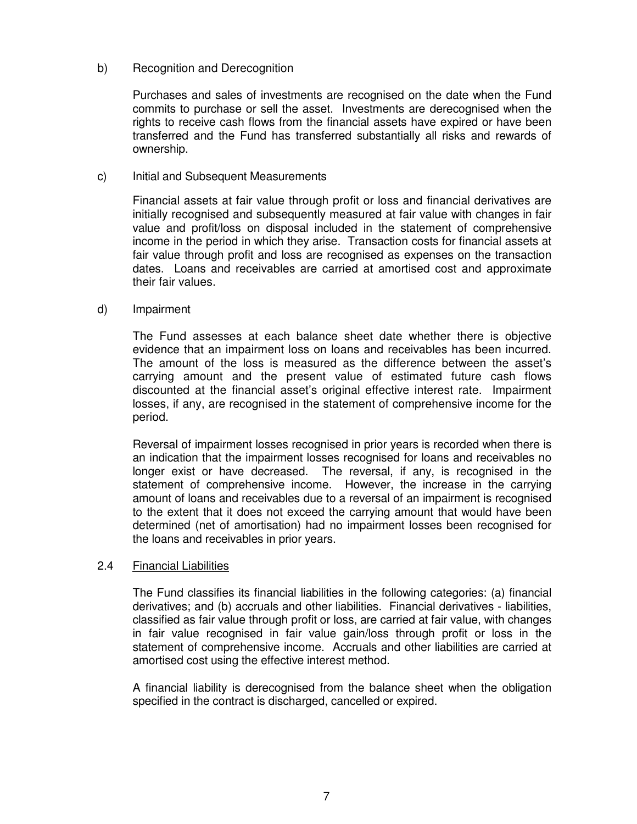#### b) Recognition and Derecognition

Purchases and sales of investments are recognised on the date when the Fund commits to purchase or sell the asset. Investments are derecognised when the rights to receive cash flows from the financial assets have expired or have been transferred and the Fund has transferred substantially all risks and rewards of ownership.

#### c) Initial and Subsequent Measurements

Financial assets at fair value through profit or loss and financial derivatives are initially recognised and subsequently measured at fair value with changes in fair value and profit/loss on disposal included in the statement of comprehensive income in the period in which they arise. Transaction costs for financial assets at fair value through profit and loss are recognised as expenses on the transaction dates. Loans and receivables are carried at amortised cost and approximate their fair values.

#### d) Impairment

The Fund assesses at each balance sheet date whether there is objective evidence that an impairment loss on loans and receivables has been incurred. The amount of the loss is measured as the difference between the asset's carrying amount and the present value of estimated future cash flows discounted at the financial asset's original effective interest rate. Impairment losses, if any, are recognised in the statement of comprehensive income for the period.

 Reversal of impairment losses recognised in prior years is recorded when there is an indication that the impairment losses recognised for loans and receivables no longer exist or have decreased. The reversal, if any, is recognised in the statement of comprehensive income. However, the increase in the carrying amount of loans and receivables due to a reversal of an impairment is recognised to the extent that it does not exceed the carrying amount that would have been determined (net of amortisation) had no impairment losses been recognised for the loans and receivables in prior years.

#### 2.4 Financial Liabilities

The Fund classifies its financial liabilities in the following categories: (a) financial derivatives; and (b) accruals and other liabilities. Financial derivatives - liabilities, classified as fair value through profit or loss, are carried at fair value, with changes in fair value recognised in fair value gain/loss through profit or loss in the statement of comprehensive income. Accruals and other liabilities are carried at amortised cost using the effective interest method.

A financial liability is derecognised from the balance sheet when the obligation specified in the contract is discharged, cancelled or expired.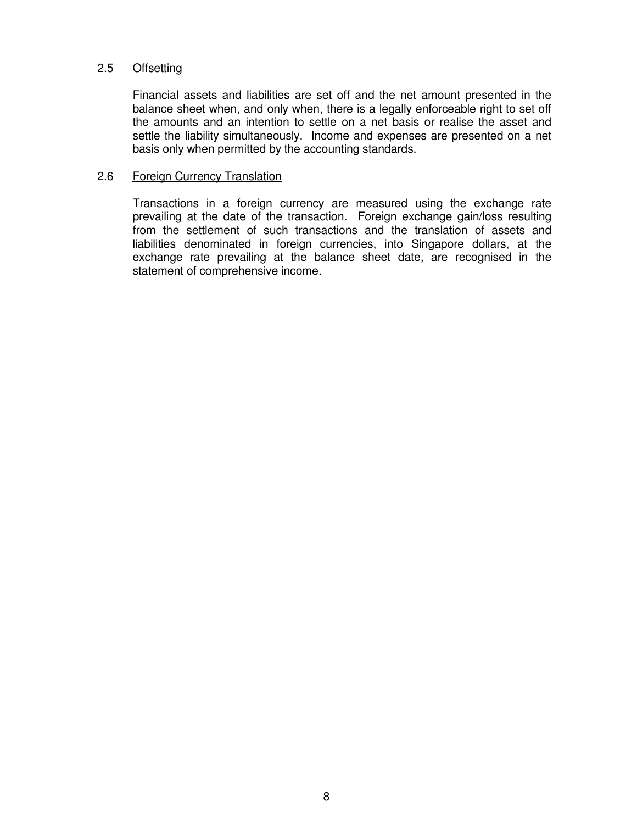#### 2.5 Offsetting

Financial assets and liabilities are set off and the net amount presented in the balance sheet when, and only when, there is a legally enforceable right to set off the amounts and an intention to settle on a net basis or realise the asset and settle the liability simultaneously. Income and expenses are presented on a net basis only when permitted by the accounting standards.

#### 2.6 Foreign Currency Translation

Transactions in a foreign currency are measured using the exchange rate prevailing at the date of the transaction. Foreign exchange gain/loss resulting from the settlement of such transactions and the translation of assets and liabilities denominated in foreign currencies, into Singapore dollars, at the exchange rate prevailing at the balance sheet date, are recognised in the statement of comprehensive income.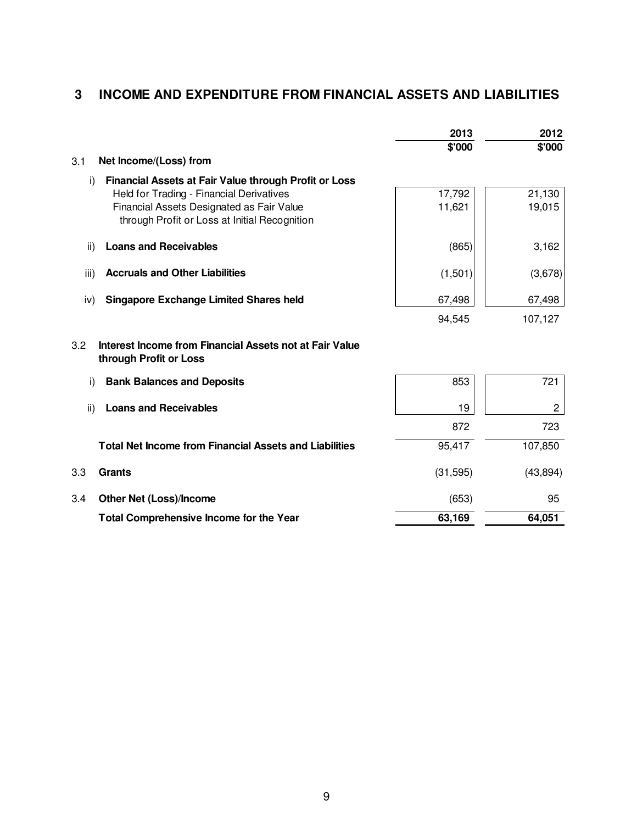# **3 INCOME AND EXPENDITURE FROM FINANCIAL ASSETS AND LIABILITIES**

|      |                                                                                   | 2013      | 2012           |
|------|-----------------------------------------------------------------------------------|-----------|----------------|
|      |                                                                                   | \$'000    | \$'000         |
| 3.1  | Net Income/(Loss) from                                                            |           |                |
| i)   | Financial Assets at Fair Value through Profit or Loss                             |           |                |
|      | Held for Trading - Financial Derivatives                                          | 17,792    | 21,130         |
|      | Financial Assets Designated as Fair Value                                         | 11,621    | 19,015         |
|      | through Profit or Loss at Initial Recognition                                     |           |                |
| ii)  | <b>Loans and Receivables</b>                                                      | (865)     | 3,162          |
|      |                                                                                   |           |                |
| iii) | <b>Accruals and Other Liabilities</b>                                             | (1,501)   | (3,678)        |
| iv)  | <b>Singapore Exchange Limited Shares held</b>                                     | 67,498    | 67,498         |
|      |                                                                                   | 94,545    | 107,127        |
| 3.2  | Interest Income from Financial Assets not at Fair Value<br>through Profit or Loss |           |                |
| i)   | <b>Bank Balances and Deposits</b>                                                 | 853       | 721            |
| ii)  | <b>Loans and Receivables</b>                                                      | 19        | $\overline{c}$ |
|      |                                                                                   | 872       | 723            |
|      | <b>Total Net Income from Financial Assets and Liabilities</b>                     | 95,417    | 107,850        |
| 3.3  | <b>Grants</b>                                                                     | (31, 595) | (43, 894)      |
| 3.4  | <b>Other Net (Loss)/Income</b>                                                    | (653)     | 95             |
|      | Total Comprehensive Income for the Year                                           | 63,169    | 64,051         |
|      |                                                                                   |           |                |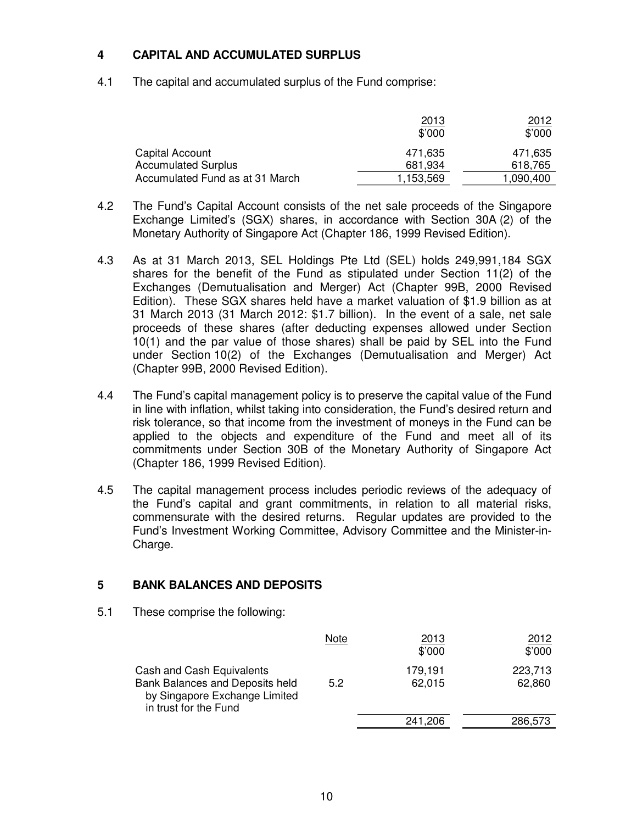#### **4 CAPITAL AND ACCUMULATED SURPLUS**

4.1 The capital and accumulated surplus of the Fund comprise:

|                                 | <u>2013</u><br>\$'000 | 2012<br>\$'000 |
|---------------------------------|-----------------------|----------------|
| Capital Account                 | 471.635               | 471.635        |
| <b>Accumulated Surplus</b>      | 681,934               | 618,765        |
| Accumulated Fund as at 31 March | 1,153,569             | 1,090,400      |

- 4.2 The Fund's Capital Account consists of the net sale proceeds of the Singapore Exchange Limited's (SGX) shares, in accordance with Section 30A (2) of the Monetary Authority of Singapore Act (Chapter 186, 1999 Revised Edition).
- 4.3 As at 31 March 2013, SEL Holdings Pte Ltd (SEL) holds 249,991,184 SGX shares for the benefit of the Fund as stipulated under Section 11(2) of the Exchanges (Demutualisation and Merger) Act (Chapter 99B, 2000 Revised Edition). These SGX shares held have a market valuation of \$1.9 billion as at 31 March 2013 (31 March 2012: \$1.7 billion). In the event of a sale, net sale proceeds of these shares (after deducting expenses allowed under Section 10(1) and the par value of those shares) shall be paid by SEL into the Fund under Section 10(2) of the Exchanges (Demutualisation and Merger) Act (Chapter 99B, 2000 Revised Edition).
- 4.4 The Fund's capital management policy is to preserve the capital value of the Fund in line with inflation, whilst taking into consideration, the Fund's desired return and risk tolerance, so that income from the investment of moneys in the Fund can be applied to the objects and expenditure of the Fund and meet all of its commitments under Section 30B of the Monetary Authority of Singapore Act (Chapter 186, 1999 Revised Edition).
- 4.5 The capital management process includes periodic reviews of the adequacy of the Fund's capital and grant commitments, in relation to all material risks, commensurate with the desired returns. Regular updates are provided to the Fund's Investment Working Committee, Advisory Committee and the Minister-in-Charge.

### **5 BANK BALANCES AND DEPOSITS**

5.1 These comprise the following:

|                                                                                                                        | Note | 2013<br>\$'000    | 2012<br>\$'000    |
|------------------------------------------------------------------------------------------------------------------------|------|-------------------|-------------------|
| Cash and Cash Equivalents<br>Bank Balances and Deposits held<br>by Singapore Exchange Limited<br>in trust for the Fund | 5.2  | 179,191<br>62,015 | 223,713<br>62,860 |
|                                                                                                                        |      | 241,206           | 286,573           |
|                                                                                                                        |      |                   |                   |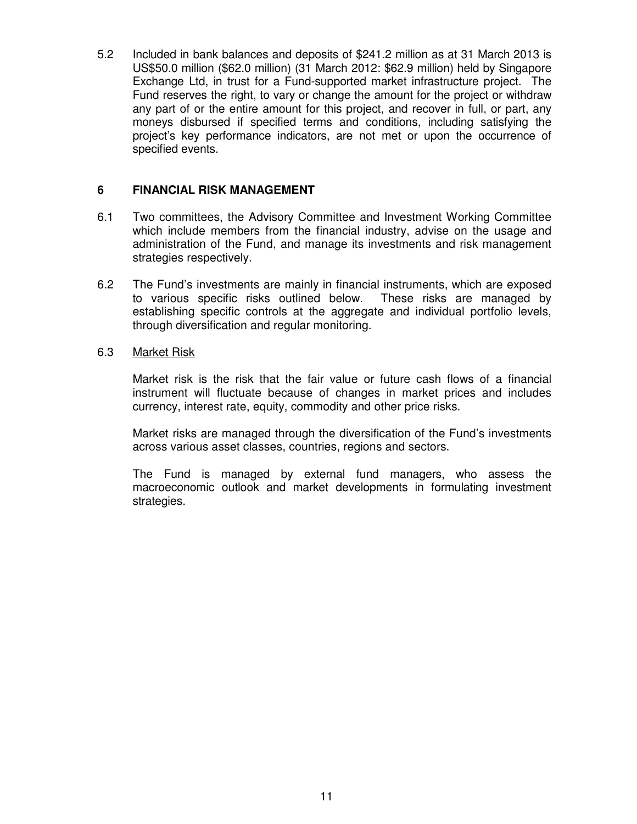5.2 Included in bank balances and deposits of \$241.2 million as at 31 March 2013 is US\$50.0 million (\$62.0 million) (31 March 2012: \$62.9 million) held by Singapore Exchange Ltd, in trust for a Fund-supported market infrastructure project. The Fund reserves the right, to vary or change the amount for the project or withdraw any part of or the entire amount for this project, and recover in full, or part, any moneys disbursed if specified terms and conditions, including satisfying the project's key performance indicators, are not met or upon the occurrence of specified events.

#### **6 FINANCIAL RISK MANAGEMENT**

- 6.1 Two committees, the Advisory Committee and Investment Working Committee which include members from the financial industry, advise on the usage and administration of the Fund, and manage its investments and risk management strategies respectively.
- 6.2 The Fund's investments are mainly in financial instruments, which are exposed to various specific risks outlined below. These risks are managed by establishing specific controls at the aggregate and individual portfolio levels, through diversification and regular monitoring.

#### 6.3 Market Risk

 Market risk is the risk that the fair value or future cash flows of a financial instrument will fluctuate because of changes in market prices and includes currency, interest rate, equity, commodity and other price risks.

Market risks are managed through the diversification of the Fund's investments across various asset classes, countries, regions and sectors.

The Fund is managed by external fund managers, who assess the macroeconomic outlook and market developments in formulating investment strategies.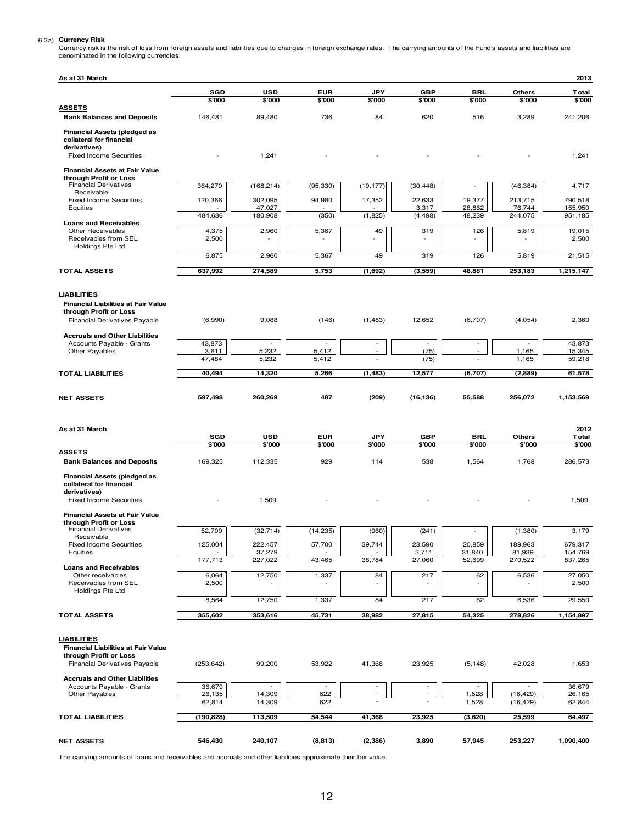6.3a) Currency Risk<br>Currency risk is the risk of loss from foreign assets and liabilities due to changes in foreign exchange rates. The carrying amounts of the Fund's assets and liabilities are<br>denominated in the following

| As at 31 March                                                                                                              |                      |                                    |                                 |                          |                      |                      |                   | 2013               |
|-----------------------------------------------------------------------------------------------------------------------------|----------------------|------------------------------------|---------------------------------|--------------------------|----------------------|----------------------|-------------------|--------------------|
|                                                                                                                             | <b>SGD</b>           | <b>USD</b>                         | <b>EUR</b>                      | <b>JPY</b>               | <b>GBP</b>           | BRL                  | <b>Others</b>     | Total              |
| <b>ASSETS</b>                                                                                                               | \$'000               | \$'000                             | \$'000                          | \$'000                   | \$'000               | \$'000               | \$'000            | \$'000             |
| <b>Bank Balances and Deposits</b>                                                                                           | 146,481              | 89,480                             | 736                             | 84                       | 620                  | 516                  | 3,289             | 241,206            |
| <b>Financial Assets (pledged as</b><br>collateral for financial<br>derivatives)                                             |                      |                                    |                                 |                          |                      |                      |                   |                    |
| <b>Fixed Income Securities</b>                                                                                              |                      | 1,241                              |                                 |                          |                      |                      |                   | 1,241              |
| <b>Financial Assets at Fair Value</b>                                                                                       |                      |                                    |                                 |                          |                      |                      |                   |                    |
| through Profit or Loss<br><b>Financial Derivatives</b>                                                                      | 364,270              | (168, 214)                         | (95, 330)                       | (19, 177)                | (30, 448)            |                      | (46, 384)         | 4,717              |
| Receivable<br><b>Fixed Income Securities</b>                                                                                | 120,366              | 302,095                            | 94,980                          | 17,352                   | 22,633               | 19,377               | 213,715           | 790,518            |
| Equities                                                                                                                    |                      | 47,027                             |                                 |                          | 3,317                | 28,862               | 76,744            | 155.950            |
| <b>Loans and Receivables</b>                                                                                                | 484,636              | 180,908                            | (350)                           | (1,825)                  | (4, 498)             | 48,239               | 244,075           | 951,185            |
| <b>Other Receivables</b><br>Receivables from SEL<br>Holdings Pte Ltd                                                        | 4,375<br>2,500       | 2,960                              | 5,367                           | 49<br>٠                  | 319                  | 126                  | 5,819             | 19,015<br>2,500    |
|                                                                                                                             | 6,875                | 2,960                              | 5,367                           | 49                       | 319                  | 126                  | 5,819             | 21,515             |
| <b>TOTAL ASSETS</b>                                                                                                         | 637,992              | 274,589                            | 5,753                           | (1,692)                  | (3, 559)             | 48,881               | 253,183           | 1,215,147          |
| <b>LIABILITIES</b><br><b>Financial Liabilities at Fair Value</b><br>through Profit or Loss<br>Financial Derivatives Payable | (6,990)              | 9,088                              | (146)                           | (1,483)                  | 12,652               | (6,707)              | (4,054)           | 2,360              |
| <b>Accruals and Other Liabilities</b>                                                                                       |                      |                                    |                                 |                          |                      |                      |                   |                    |
| Accounts Payable - Grants<br>Other Payables                                                                                 | 43,873<br>3,611      | 5,232                              | 5,412                           | $\sim$                   | $\sim$<br>(75)       | ÷,                   | 1,165             | 43,873<br>15,345   |
|                                                                                                                             | 47,484               | 5,232                              | 5,412                           |                          | (75)                 |                      | 1,165             | 59,218             |
| <b>TOTAL LIABILITIES</b>                                                                                                    | 40,494               | 14,320                             | 5,266                           | (1, 483)                 | 12,577               | (6,707)              | (2,889)           | 61,578             |
| <b>NET ASSETS</b>                                                                                                           | 597,498              | 260,269                            | 487                             | (209)                    | (16, 136)            | 55,588               | 256,072           | 1,153,569          |
| As at 31 March                                                                                                              |                      |                                    |                                 |                          |                      |                      |                   | 2012               |
|                                                                                                                             | <b>SGD</b><br>\$'000 | <b>USD</b><br>\$'000               | <b>EUR</b><br>\$'000            | <b>JPY</b><br>\$'000     | <b>GBP</b><br>\$'000 | <b>BRL</b><br>\$'000 | Others<br>\$'000  | Total<br>\$'000    |
| <b>ASSETS</b><br><b>Bank Balances and Deposits</b>                                                                          | 169,325              | 112,335                            | 929                             | 114                      | 538                  | 1,564                | 1,768             | 286,573            |
| <b>Financial Assets (pledged as</b><br>collateral for financial                                                             |                      |                                    |                                 |                          |                      |                      |                   |                    |
| derivatives)<br><b>Fixed Income Securities</b>                                                                              |                      | 1,509                              |                                 |                          |                      |                      |                   | 1,509              |
| <b>Financial Assets at Fair Value</b><br>through Profit or Loss                                                             |                      |                                    |                                 |                          |                      |                      |                   |                    |
| <b>Financial Derivatives</b><br>Receivable                                                                                  | 52,709               | (32, 714)                          | (14, 235)                       | (960)                    | (241)                |                      | (1,380)           | 3,179              |
| <b>Fixed Income Securities</b><br>Equities                                                                                  | 125,004              | 222,457<br>37,279                  | 57,700                          | 39,744                   | 23,590<br>3,711      | 20,859<br>31,840     | 189,963<br>81,939 | 679,317<br>154,769 |
| <b>Loans and Receivables</b>                                                                                                | 177,713              | 227,022                            | 43,465                          | 38,784                   | 27,060               | 52,699               | 270,522           | 837,265            |
| Other receivables<br>Receivables from SEL<br>Holdings Pte Ltd                                                               | 6,064<br>2,500       | 12,750                             | 1,337                           | 84                       | 217                  | 62                   | 6,536             | 27,050<br>2,500    |
|                                                                                                                             | 8,564                | 12,750                             | 1,337                           | 84                       | 217                  | 62                   | 6,536             | 29,550             |
| <b>TOTAL ASSETS</b>                                                                                                         | 355,602              | 353,616                            | 45,731                          | 38,982                   | 27,815               | 54,325               | 278,826           | 1,154,897          |
| <b>LIABILITIES</b><br><b>Financial Liabilities at Fair Value</b><br>through Profit or Loss<br>Financial Derivatives Payable | (253, 642)           | 99,200                             | 53,922                          | 41,368                   | 23,925               | (5, 148)             | 42,028            | 1,653              |
| <b>Accruals and Other Liabilities</b>                                                                                       |                      |                                    |                                 |                          |                      |                      |                   |                    |
| Accounts Payable - Grants<br>Other Payables                                                                                 | 36,679<br>26,135     | $\overline{\phantom{a}}$<br>14,309 | $\overline{\phantom{a}}$<br>622 | $\overline{\phantom{a}}$ |                      | 1,528                | (16, 429)         | 36,679<br>26,165   |
|                                                                                                                             | 62,814               | 14,309                             | 622                             |                          |                      | 1,528                | (16, 429)         | 62,844             |
| <b>TOTAL LIABILITIES</b>                                                                                                    | (190, 828)           | 113,509                            | 54,544                          | 41,368                   | 23,925               | (3,620)              | 25,599            | 64,497             |
| <b>NET ASSETS</b>                                                                                                           | 546,430              | 240,107                            | (8, 813)                        | (2, 386)                 | 3,890                | 57,945               | 253,227           | 1,090,400          |

The carrying amounts of loans and receivables and accruals and other liabilities approximate their fair value.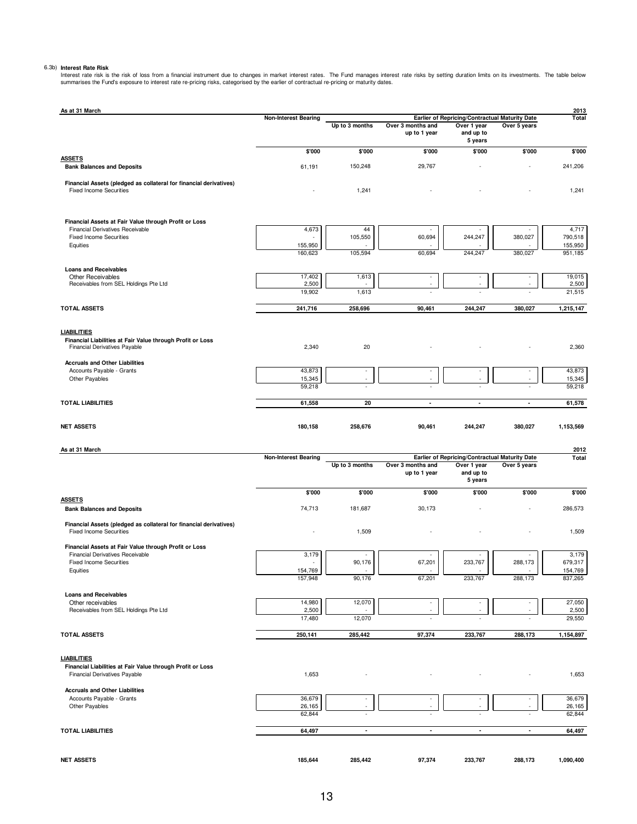6.3b) Interest Rate Risk<br>Interest rate risk is the risk of loss from a financial instrument due to changes in market interest rates. The Fund manages interest rate risks by setting duration limits on its investments. The t

| As at 31 March                                                                                                           | <b>Non-Interest Bearing</b> |                               |                                   | Earlier of Repricing/Contractual Maturity Date                |                          | 2013<br>Total      |
|--------------------------------------------------------------------------------------------------------------------------|-----------------------------|-------------------------------|-----------------------------------|---------------------------------------------------------------|--------------------------|--------------------|
|                                                                                                                          |                             | Up to 3 months                | Over 3 months and<br>up to 1 year | Over 1 year<br>and up to<br>5 years                           | Over 5 years             |                    |
|                                                                                                                          | \$'000                      | \$'000                        | \$'000                            | \$'000                                                        | \$'000                   | \$'000             |
| <b>ASSETS</b><br><b>Bank Balances and Deposits</b>                                                                       | 61,191                      | 150,248                       | 29,767                            |                                                               |                          | 241,206            |
| Financial Assets (pledged as collateral for financial derivatives)<br><b>Fixed Income Securities</b>                     |                             | 1,241                         |                                   |                                                               |                          | 1,241              |
| Financial Assets at Fair Value through Profit or Loss                                                                    |                             |                               |                                   |                                                               |                          |                    |
| <b>Financial Derivatives Receivable</b><br><b>Fixed Income Securities</b>                                                | 4,673                       | 44<br>105,550                 | 60,694                            | 244,247                                                       | 380,027                  | 4,717<br>790,518   |
| Equities                                                                                                                 | 155,950<br>160,623          | 105,594                       | 60,694                            | 244,247                                                       | 380,027                  | 155,950<br>951,185 |
|                                                                                                                          |                             |                               |                                   |                                                               |                          |                    |
| <b>Loans and Receivables</b><br>Other Receivables                                                                        | 17,402                      | 1,613                         | $\sim$                            | $\overline{\phantom{a}}$                                      |                          | 19,015             |
| Receivables from SEL Holdings Pte Ltd                                                                                    | 2,500<br>19,902             | 1,613                         | ×.                                | ٠                                                             | ٠                        | 2,500<br>21,515    |
| <b>TOTAL ASSETS</b>                                                                                                      | 241,716                     | 258,696                       | 90,461                            | 244,247                                                       | 380,027                  | 1,215,147          |
|                                                                                                                          |                             |                               |                                   |                                                               |                          |                    |
| <b>LIABILITIES</b><br>Financial Liabilities at Fair Value through Profit or Loss<br><b>Financial Derivatives Payable</b> | 2,340                       | 20                            |                                   |                                                               |                          | 2,360              |
| <b>Accruals and Other Liabilities</b>                                                                                    |                             |                               |                                   |                                                               |                          |                    |
| Accounts Payable - Grants<br>Other Payables                                                                              | 43,873<br>15,345            | $\overline{\phantom{a}}$<br>× | ٠<br>×                            | ٠<br>$\overline{\phantom{a}}$                                 | ×.                       | 43,873<br>15,345   |
|                                                                                                                          | 59,218                      |                               |                                   |                                                               |                          | 59,218             |
| <b>TOTAL LIABILITIES</b>                                                                                                 | 61,558                      | 20                            | $\blacksquare$                    | $\tilde{\phantom{a}}$                                         | $\blacksquare$           | 61,578             |
| <b>NET ASSETS</b>                                                                                                        | 180,158                     | 258,676                       | 90,461                            | 244,247                                                       | 380,027                  | 1,153,569          |
| As at 31 March                                                                                                           |                             |                               |                                   |                                                               |                          | 2012               |
|                                                                                                                          | <b>Non-Interest Bearing</b> | Up to 3 months                | Over 3 months and                 | Earlier of Repricing/Contractual Maturity Date<br>Over 1 year | Over 5 years             | Total              |
|                                                                                                                          |                             |                               | up to 1 year                      | and up to<br>5 years                                          |                          |                    |
|                                                                                                                          | \$'000                      |                               |                                   |                                                               |                          |                    |
|                                                                                                                          |                             | \$'000                        | \$'000                            | \$'000                                                        | \$'000                   | \$'000             |
| <b>ASSETS</b><br><b>Bank Balances and Deposits</b>                                                                       | 74,713                      | 181,687                       | 30,173                            |                                                               |                          | 286,573            |
| Financial Assets (pledged as collateral for financial derivatives)<br><b>Fixed Income Securities</b>                     |                             | 1,509                         |                                   |                                                               |                          | 1,509              |
| Financial Assets at Fair Value through Profit or Loss                                                                    |                             |                               |                                   |                                                               |                          |                    |
| <b>Financial Derivatives Receivable</b><br><b>Fixed Income Securities</b>                                                | 3,179<br>ä,                 | ٠                             |                                   |                                                               | 288,173                  | 3,179              |
| Equities                                                                                                                 | 154,769                     | 90,176                        | 67,201                            | 233,767                                                       |                          | 679,317<br>154,769 |
|                                                                                                                          | 157,948                     | 90,176                        | 67,201                            | 233,767                                                       | 288,173                  | 837,265            |
| <b>Loans and Receivables</b>                                                                                             |                             |                               |                                   |                                                               |                          |                    |
| Other receivables<br>Receivables from SEL Holdings Pte Ltd                                                               | 14,980<br>2,500             | 12,070                        |                                   |                                                               |                          | 27,050<br>2,500    |
|                                                                                                                          | 17,480                      | 12,070                        |                                   |                                                               |                          | 29,550             |
| <b>TOTAL ASSETS</b>                                                                                                      | 250,141                     | 285,442                       | 97,374                            | 233,767                                                       | 288,173                  | 1,154,897          |
| <b>LIABILITIES</b>                                                                                                       |                             |                               |                                   |                                                               |                          |                    |
| Financial Liabilities at Fair Value through Profit or Loss                                                               |                             |                               |                                   |                                                               |                          |                    |
| Financial Derivatives Payable                                                                                            | 1,653                       |                               |                                   |                                                               |                          | 1,653              |
| <b>Accruals and Other Liabilities</b><br>Accounts Payable - Grants                                                       | 36,679                      | $\sim$                        | ٠                                 | $\overline{\phantom{a}}$                                      | $\overline{\phantom{a}}$ | 36,679             |
| Other Payables                                                                                                           | 26,165                      |                               |                                   |                                                               |                          | 26,165             |
|                                                                                                                          | 62,844                      | ä,                            |                                   |                                                               |                          | 62,844             |
| <b>TOTAL LIABILITIES</b>                                                                                                 | 64,497                      | $\blacksquare$                | $\blacksquare$                    | $\blacksquare$                                                | $\blacksquare$           | 64,497             |
| <b>NET ASSETS</b>                                                                                                        | 185,644                     | 285,442                       | 97,374                            | 233,767                                                       | 288,173                  | 1,090,400          |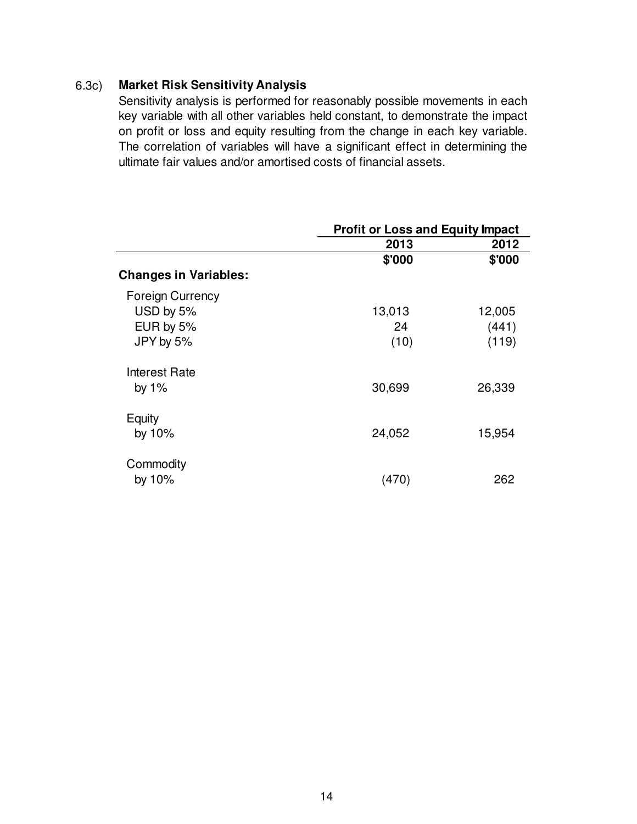### 6.3c) **Market Risk Sensitivity Analysis**

Sensitivity analysis is performed for reasonably possible movements in each key variable with all other variables held constant, to demonstrate the impact on profit or loss and equity resulting from the change in each key variable. The correlation of variables will have a significant effect in determining the ultimate fair values and/or amortised costs of financial assets.

|                              | <b>Profit or Loss and Equity Impact</b> |        |  |  |
|------------------------------|-----------------------------------------|--------|--|--|
|                              | 2013                                    | 2012   |  |  |
|                              | \$'000                                  | \$'000 |  |  |
| <b>Changes in Variables:</b> |                                         |        |  |  |
| <b>Foreign Currency</b>      |                                         |        |  |  |
| USD by 5%                    | 13,013                                  | 12,005 |  |  |
| EUR by 5%                    | 24                                      | (441)  |  |  |
| JPY by 5%                    | (10)                                    | (119)  |  |  |
| Interest Rate                |                                         |        |  |  |
| by $1\%$                     | 30,699                                  | 26,339 |  |  |
| Equity                       |                                         |        |  |  |
| by 10%                       | 24,052                                  | 15,954 |  |  |
| Commodity                    |                                         |        |  |  |
| by 10%                       | (470)                                   | 262    |  |  |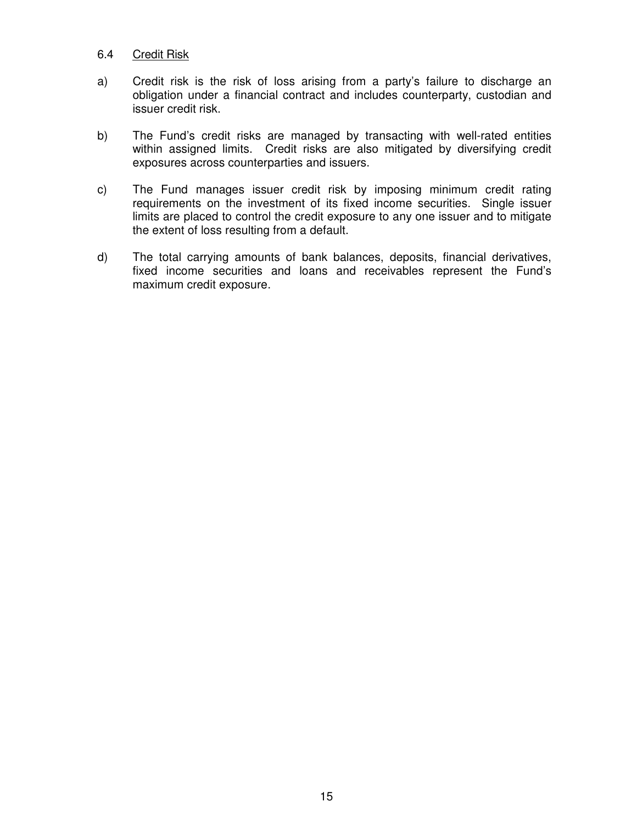#### 6.4 Credit Risk

- a) Credit risk is the risk of loss arising from a party's failure to discharge an obligation under a financial contract and includes counterparty, custodian and issuer credit risk.
- b) The Fund's credit risks are managed by transacting with well-rated entities within assigned limits. Credit risks are also mitigated by diversifying credit exposures across counterparties and issuers.
- c) The Fund manages issuer credit risk by imposing minimum credit rating requirements on the investment of its fixed income securities. Single issuer limits are placed to control the credit exposure to any one issuer and to mitigate the extent of loss resulting from a default.
- d) The total carrying amounts of bank balances, deposits, financial derivatives, fixed income securities and loans and receivables represent the Fund's maximum credit exposure.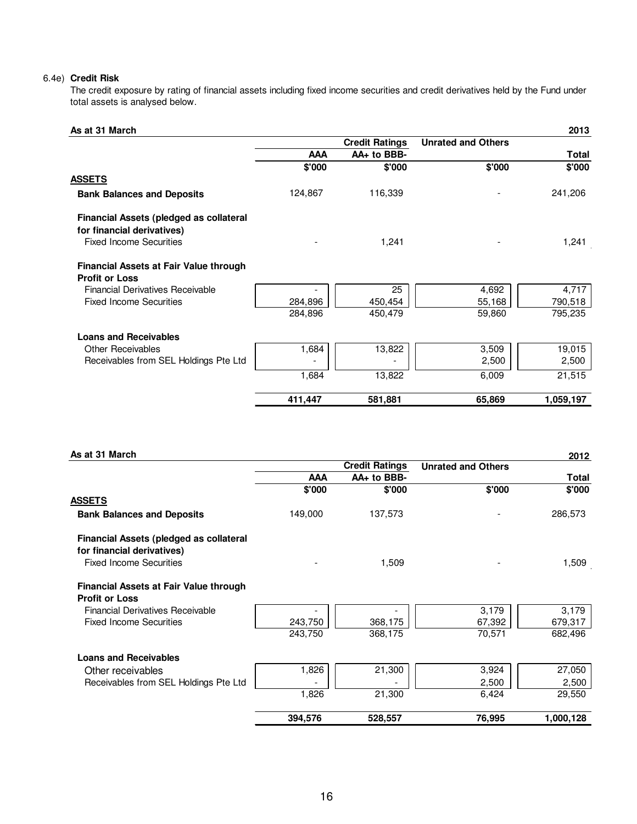#### 6.4e) **Credit Risk**

The credit exposure by rating of financial assets including fixed income securities and credit derivatives held by the Fund under total assets is analysed below.

| As at 31 March                                                        |            |                       |                           | 2013         |
|-----------------------------------------------------------------------|------------|-----------------------|---------------------------|--------------|
|                                                                       |            | <b>Credit Ratings</b> | <b>Unrated and Others</b> |              |
|                                                                       | <b>AAA</b> | AA+ to BBB-           |                           | <b>Total</b> |
|                                                                       | \$'000     | \$'000                | \$'000                    | \$'000       |
| <b>ASSETS</b>                                                         |            |                       |                           |              |
| <b>Bank Balances and Deposits</b>                                     | 124,867    | 116,339               |                           | 241,206      |
| Financial Assets (pledged as collateral<br>for financial derivatives) |            |                       |                           |              |
| <b>Fixed Income Securities</b>                                        |            | 1,241                 |                           | 1,241        |
| Financial Assets at Fair Value through                                |            |                       |                           |              |
| <b>Profit or Loss</b>                                                 |            |                       |                           |              |
| <b>Financial Derivatives Receivable</b>                               |            | 25                    | 4,692                     | 4,717        |
| <b>Fixed Income Securities</b>                                        | 284,896    | 450,454               | 55,168                    | 790,518      |
|                                                                       | 284,896    | 450,479               | 59,860                    | 795,235      |
| <b>Loans and Receivables</b>                                          |            |                       |                           |              |
| <b>Other Receivables</b>                                              | 1,684      | 13,822                | 3,509                     | 19,015       |
| Receivables from SEL Holdings Pte Ltd                                 |            |                       | 2,500                     | 2,500        |
|                                                                       | 1,684      | 13,822                | 6,009                     | 21,515       |
|                                                                       | 411,447    | 581,881               | 65,869                    | 1,059,197    |

| As at 31 March                                                        |            |                       |                           | 2012         |
|-----------------------------------------------------------------------|------------|-----------------------|---------------------------|--------------|
|                                                                       |            | <b>Credit Ratings</b> | <b>Unrated and Others</b> |              |
|                                                                       | <b>AAA</b> | AA+ to BBB-           |                           | <b>Total</b> |
|                                                                       | \$'000     | \$'000                | \$'000                    | \$'000       |
| <b>ASSETS</b>                                                         |            |                       |                           |              |
| <b>Bank Balances and Deposits</b>                                     | 149,000    | 137,573               |                           | 286,573      |
| Financial Assets (pledged as collateral<br>for financial derivatives) |            |                       |                           |              |
| <b>Fixed Income Securities</b>                                        |            | 1,509                 |                           | 1,509        |
| Financial Assets at Fair Value through                                |            |                       |                           |              |
| <b>Profit or Loss</b>                                                 |            |                       |                           |              |
| <b>Financial Derivatives Receivable</b>                               |            |                       | 3,179                     | 3,179        |
| <b>Fixed Income Securities</b>                                        | 243,750    | 368,175               | 67,392                    | 679,317      |
|                                                                       | 243,750    | 368,175               | 70,571                    | 682,496      |
| <b>Loans and Receivables</b>                                          |            |                       |                           |              |
| Other receivables                                                     | 1,826      | 21,300                | 3,924                     | 27,050       |
| Receivables from SEL Holdings Pte Ltd                                 |            |                       | 2,500                     | 2,500        |
|                                                                       | 1,826      | 21,300                | 6,424                     | 29,550       |
|                                                                       | 394,576    | 528,557               | 76,995                    | 1,000,128    |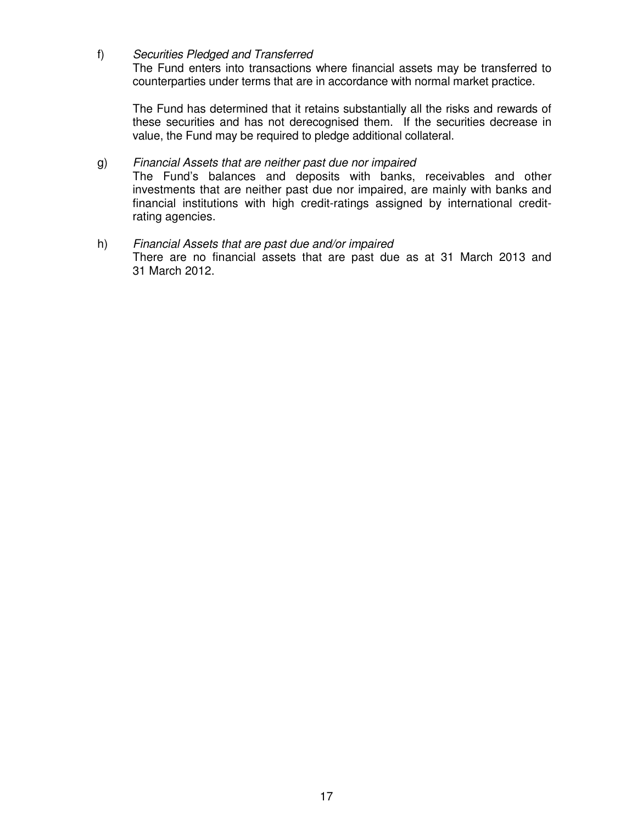f) Securities Pledged and Transferred

The Fund enters into transactions where financial assets may be transferred to counterparties under terms that are in accordance with normal market practice.

The Fund has determined that it retains substantially all the risks and rewards of these securities and has not derecognised them. If the securities decrease in value, the Fund may be required to pledge additional collateral.

#### g) Financial Assets that are neither past due nor impaired

 The Fund's balances and deposits with banks, receivables and other investments that are neither past due nor impaired, are mainly with banks and financial institutions with high credit-ratings assigned by international creditrating agencies.

h) Financial Assets that are past due and/or impaired There are no financial assets that are past due as at 31 March 2013 and 31 March 2012.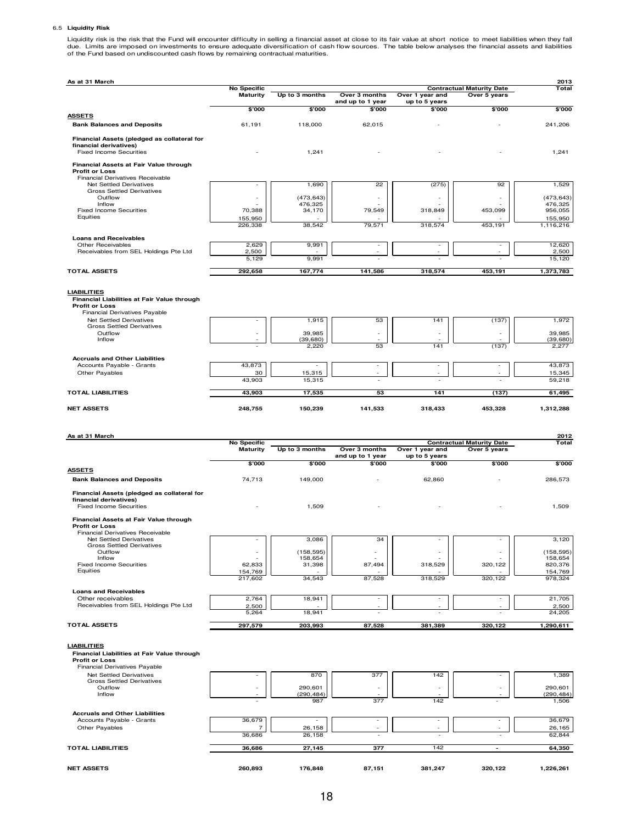#### 6.5 **Liquidity Risk**

Liquidity risk is the risk that the Fund will encounter difficulty in selling a financial asset at close to its fair value at short notice to meet liabilities when they fall<br>due. Limits are imposed on investments to ensure

| As at 31 March                                                        |                          |                          |                                   |                                  |                                                  | 2013                  |
|-----------------------------------------------------------------------|--------------------------|--------------------------|-----------------------------------|----------------------------------|--------------------------------------------------|-----------------------|
|                                                                       | <b>No Specific</b>       | Up to 3 months           | Over 3 months                     |                                  | <b>Contractual Maturity Date</b><br>Over 5 years | Total                 |
|                                                                       | <b>Maturity</b>          |                          | and up to 1 year                  | Over 1 year and<br>up to 5 years |                                                  |                       |
|                                                                       | \$'000                   | \$'000                   | \$'000                            | \$'000                           | \$'000                                           | \$'000                |
| <b>ASSETS</b><br><b>Bank Balances and Deposits</b>                    | 61,191                   | 118,000                  | 62,015                            |                                  |                                                  | 241,206               |
|                                                                       |                          |                          |                                   |                                  |                                                  |                       |
| Financial Assets (pledged as collateral for<br>financial derivatives) |                          |                          |                                   |                                  |                                                  |                       |
| <b>Fixed Income Securities</b>                                        |                          | 1,241                    |                                   |                                  |                                                  | 1,241                 |
| Financial Assets at Fair Value through                                |                          |                          |                                   |                                  |                                                  |                       |
| <b>Profit or Loss</b>                                                 |                          |                          |                                   |                                  |                                                  |                       |
| Financial Derivatives Receivable<br>Net Settled Derivatives           | $\overline{\phantom{a}}$ | 1,690                    | 22                                | (275)                            | 92                                               | 1,529                 |
| <b>Gross Settled Derivatives</b>                                      |                          |                          |                                   |                                  |                                                  |                       |
| Outflow<br>Inflow                                                     | $\overline{\phantom{a}}$ | (473, 643)<br>476,325    |                                   |                                  |                                                  | (473, 643)<br>476,325 |
| <b>Fixed Income Securities</b>                                        | 70,388                   | 34,170                   | 79,549                            | 318,849                          | 453,099                                          | 956,055               |
| Equities                                                              | 155,950                  | 38.542                   |                                   |                                  |                                                  | 155,950               |
|                                                                       | 226.338                  |                          | 79,571                            | 318,574                          | 453,191                                          | 1,116,216             |
| <b>Loans and Receivables</b>                                          |                          |                          |                                   |                                  |                                                  |                       |
| Other Receivables<br>Receivables from SEL Holdings Pte Ltd            | 2,629<br>2,500           | 9,991                    | $\overline{\phantom{a}}$          | $\sim$                           | $\sim$                                           | 12,620<br>2,500       |
|                                                                       | 5,129                    | 9,991                    |                                   |                                  |                                                  | 15,120                |
| <b>TOTAL ASSETS</b>                                                   | 292,658                  | 167,774                  | 141,586                           | 318,574                          | 453,191                                          | 1,373,783             |
|                                                                       |                          |                          |                                   |                                  |                                                  |                       |
| <b>LIABILITIES</b>                                                    |                          |                          |                                   |                                  |                                                  |                       |
| Financial Liabilities at Fair Value through                           |                          |                          |                                   |                                  |                                                  |                       |
| <b>Profit or Loss</b>                                                 |                          |                          |                                   |                                  |                                                  |                       |
| Financial Derivatives Payable<br>Net Settled Derivatives              |                          | 1,915                    | 53                                | 141                              | (137)                                            | 1,972                 |
| <b>Gross Settled Derivatives</b>                                      |                          |                          |                                   |                                  |                                                  |                       |
| Outflow<br>Inflow                                                     |                          | 39,985<br>(39, 680)      |                                   |                                  |                                                  | 39.985<br>(39, 680)   |
|                                                                       |                          | 2,220                    | 53                                | 141                              | (137)                                            | 2,277                 |
| <b>Accruals and Other Liabilities</b>                                 |                          |                          |                                   |                                  |                                                  |                       |
| Accounts Payable - Grants                                             | 43,873                   | $\overline{\phantom{a}}$ | $\overline{\phantom{a}}$          | $\overline{\phantom{a}}$         | $\overline{\phantom{a}}$                         | 43,873                |
| Other Payables                                                        | 30<br>43,903             | 15,315<br>15,315         |                                   |                                  |                                                  | 15,345<br>59,218      |
|                                                                       |                          |                          |                                   |                                  |                                                  |                       |
| <b>TOTAL LIABILITIES</b>                                              | 43,903                   | 17,535                   | 53                                | 141                              | (137)                                            | 61,495                |
| <b>NET ASSETS</b>                                                     | 248,755                  | 150,239                  | 141,533                           | 318,433                          | 453,328                                          | 1,312,288             |
|                                                                       |                          |                          |                                   |                                  |                                                  |                       |
|                                                                       |                          |                          |                                   |                                  |                                                  |                       |
|                                                                       |                          |                          |                                   |                                  |                                                  |                       |
| As at 31 March                                                        |                          |                          |                                   |                                  |                                                  | 2012                  |
|                                                                       | <b>No Specific</b>       |                          |                                   |                                  | <b>Contractual Maturity Date</b>                 | Total                 |
|                                                                       | <b>Maturity</b>          | Up to 3 months           | Over 3 months<br>and up to 1 year | Over 1 year and<br>up to 5 years | Over 5 years                                     |                       |
|                                                                       | \$'000                   | \$'000                   | \$'000                            | \$'000                           | \$'000                                           | \$'000                |
| <b>ASSETS</b>                                                         |                          |                          |                                   |                                  |                                                  |                       |
| <b>Bank Balances and Deposits</b>                                     | 74,713                   | 149,000                  |                                   | 62,860                           |                                                  | 286,573               |
| Financial Assets (pledged as collateral for                           |                          |                          |                                   |                                  |                                                  |                       |
| financial derivatives)                                                |                          |                          |                                   |                                  |                                                  |                       |
| <b>Fixed Income Securities</b>                                        |                          | 1,509                    |                                   |                                  |                                                  | 1,509                 |
| Financial Assets at Fair Value through                                |                          |                          |                                   |                                  |                                                  |                       |
| <b>Profit or Loss</b><br>Financial Derivatives Receivable             |                          |                          |                                   |                                  |                                                  |                       |
| Net Settled Derivatives                                               |                          | 3,086                    | 34                                |                                  |                                                  | 3,120                 |
| <b>Gross Settled Derivatives</b><br>Outflow                           | $\overline{\phantom{a}}$ | (158, 595)               |                                   |                                  |                                                  | (158, 595)            |
| Inflow                                                                |                          | 158,654                  |                                   |                                  |                                                  | 158,654               |
| <b>Fixed Income Securities</b><br>Equities                            | 62,833<br>154,769        | 31,398                   | 87,494                            | 318,529                          | 320,122                                          | 820,376<br>154,769    |
|                                                                       | 217,602                  | 34,543                   | 87,528                            | 318,529                          | 320,122                                          | 978,324               |
| <b>Loans and Receivables</b>                                          |                          |                          |                                   |                                  |                                                  |                       |
| Other receivables                                                     | 2,764                    | 18,941                   | $\overline{a}$                    |                                  | $\overline{\phantom{a}}$                         | 21,705                |
| Receivables from SEL Holdings Pte Ltd                                 | 2,500                    |                          |                                   |                                  |                                                  | 2,500                 |
|                                                                       | 5,264                    | 18,941                   |                                   |                                  |                                                  | 24,205                |
| <b>TOTAL ASSETS</b>                                                   | 297,579                  | 203,993                  | 87,528                            | 381,389                          | 320,122                                          | 1,290,611             |
|                                                                       |                          |                          |                                   |                                  |                                                  |                       |
| <b>LIABILITIES</b>                                                    |                          |                          |                                   |                                  |                                                  |                       |
| Financial Liabilities at Fair Value through<br><b>Profit or Loss</b>  |                          |                          |                                   |                                  |                                                  |                       |
| Financial Derivatives Payable                                         |                          |                          |                                   |                                  |                                                  |                       |
| <b>Net Settled Derivatives</b>                                        |                          | 870                      | 377                               | 142                              |                                                  | 1,389                 |
| <b>Gross Settled Derivatives</b><br>Outflow                           |                          | 290,601                  |                                   |                                  |                                                  | 290,601               |
| Inflow                                                                |                          | (290, 484)               |                                   |                                  |                                                  | (290, 484)            |
|                                                                       |                          | 987                      | 377                               | 142                              |                                                  | 1,506                 |
| <b>Accruals and Other Liabilities</b>                                 |                          |                          |                                   |                                  |                                                  |                       |
| Accounts Payable - Grants<br>Other Payables                           | 36,679<br>7              | 26,158                   | ٠                                 | ä,                               | ä,                                               | 36,679<br>26,165      |
|                                                                       | 36,686                   | 26,158                   |                                   |                                  |                                                  | 62,844                |
| <b>TOTAL LIABILITIES</b>                                              | 36,686                   | 27,145                   | 377                               | 142                              |                                                  | 64,350                |
|                                                                       |                          |                          |                                   |                                  |                                                  |                       |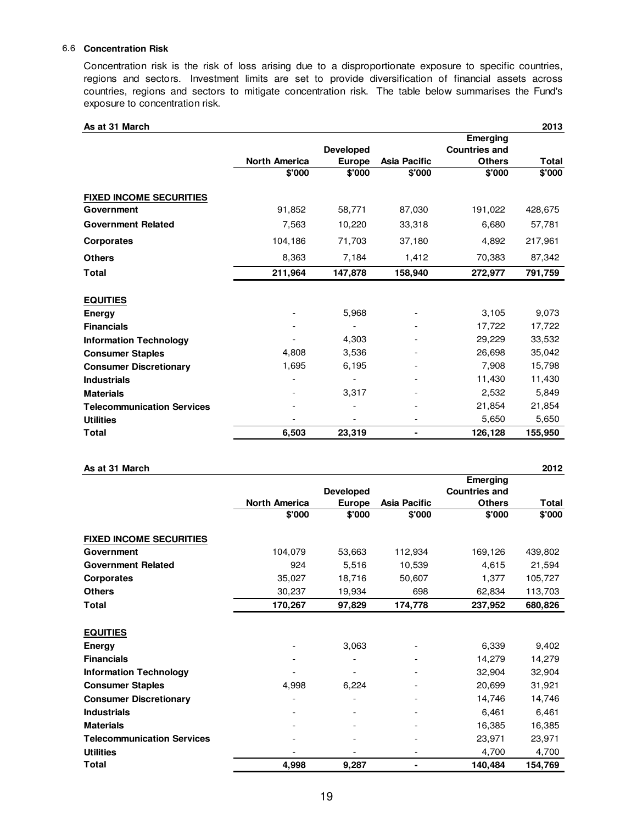#### 6.6 **Concentration Risk**

Concentration risk is the risk of loss arising due to a disproportionate exposure to specific countries, regions and sectors. Investment limits are set to provide diversification of financial assets across countries, regions and sectors to mitigate concentration risk. The table below summarises the Fund's exposure to concentration risk.

| As at 31 March                    |                      |                          |                     |                      | 2013         |
|-----------------------------------|----------------------|--------------------------|---------------------|----------------------|--------------|
|                                   |                      |                          |                     | Emerging             |              |
|                                   |                      | <b>Developed</b>         |                     | <b>Countries and</b> |              |
|                                   | <b>North America</b> | <b>Europe</b>            | <b>Asia Pacific</b> | <b>Others</b>        | <b>Total</b> |
|                                   | \$'000               | \$'000                   | \$'000              | \$'000               | \$'000       |
| <b>FIXED INCOME SECURITIES</b>    |                      |                          |                     |                      |              |
| Government                        | 91,852               | 58,771                   | 87,030              | 191,022              | 428,675      |
| <b>Government Related</b>         | 7,563                | 10,220                   | 33,318              | 6,680                | 57,781       |
| <b>Corporates</b>                 | 104,186              | 71,703                   | 37,180              | 4,892                | 217,961      |
| <b>Others</b>                     | 8,363                | 7,184                    | 1,412               | 70,383               | 87,342       |
| <b>Total</b>                      | 211,964              | 147,878                  | 158,940             | 272,977              | 791,759      |
| <b>EQUITIES</b>                   |                      |                          |                     |                      |              |
| Energy                            |                      | 5,968                    |                     | 3,105                | 9,073        |
| <b>Financials</b>                 |                      |                          |                     | 17,722               | 17,722       |
| <b>Information Technology</b>     |                      | 4,303                    |                     | 29,229               | 33,532       |
| <b>Consumer Staples</b>           | 4,808                | 3,536                    |                     | 26,698               | 35,042       |
| <b>Consumer Discretionary</b>     | 1,695                | 6,195                    |                     | 7,908                | 15,798       |
| <b>Industrials</b>                |                      |                          |                     | 11,430               | 11,430       |
| <b>Materials</b>                  |                      | 3,317                    |                     | 2,532                | 5,849        |
| <b>Telecommunication Services</b> |                      | $\overline{\phantom{a}}$ |                     | 21,854               | 21,854       |
| <b>Utilities</b>                  |                      | $\overline{\phantom{a}}$ |                     | 5,650                | 5,650        |
| <b>Total</b>                      | 6,503                | 23,319                   | ۰                   | 126,128              | 155,950      |

| As at 31 March                    |                      |                  |                     |                      | 2012    |
|-----------------------------------|----------------------|------------------|---------------------|----------------------|---------|
|                                   |                      |                  |                     | Emerging             |         |
|                                   |                      | <b>Developed</b> |                     | <b>Countries and</b> |         |
|                                   | <b>North America</b> | <b>Europe</b>    | <b>Asia Pacific</b> | <b>Others</b>        | Total   |
|                                   | \$'000               | \$'000           | \$'000              | \$'000               | \$'000  |
| <b>FIXED INCOME SECURITIES</b>    |                      |                  |                     |                      |         |
| Government                        | 104,079              | 53,663           | 112,934             | 169,126              | 439,802 |
| <b>Government Related</b>         | 924                  | 5,516            | 10,539              | 4,615                | 21,594  |
| <b>Corporates</b>                 | 35,027               | 18,716           | 50,607              | 1,377                | 105,727 |
| <b>Others</b>                     | 30,237               | 19,934           | 698                 | 62,834               | 113,703 |
| Total                             | 170,267              | 97,829           | 174,778             | 237,952              | 680.826 |
|                                   |                      |                  |                     |                      |         |
| <b>EQUITIES</b>                   |                      |                  |                     |                      |         |
| Energy                            |                      | 3,063            |                     | 6,339                | 9,402   |
| <b>Financials</b>                 |                      |                  |                     | 14,279               | 14,279  |
| <b>Information Technology</b>     |                      |                  |                     | 32,904               | 32,904  |
| <b>Consumer Staples</b>           | 4,998                | 6,224            |                     | 20,699               | 31,921  |
| <b>Consumer Discretionary</b>     |                      |                  |                     | 14,746               | 14,746  |
| <b>Industrials</b>                |                      |                  |                     | 6,461                | 6,461   |
| <b>Materials</b>                  |                      |                  |                     | 16,385               | 16,385  |
| <b>Telecommunication Services</b> |                      |                  |                     | 23,971               | 23,971  |
| <b>Utilities</b>                  |                      |                  |                     | 4,700                | 4,700   |
| Total                             | 4,998                | 9,287            |                     | 140,484              | 154,769 |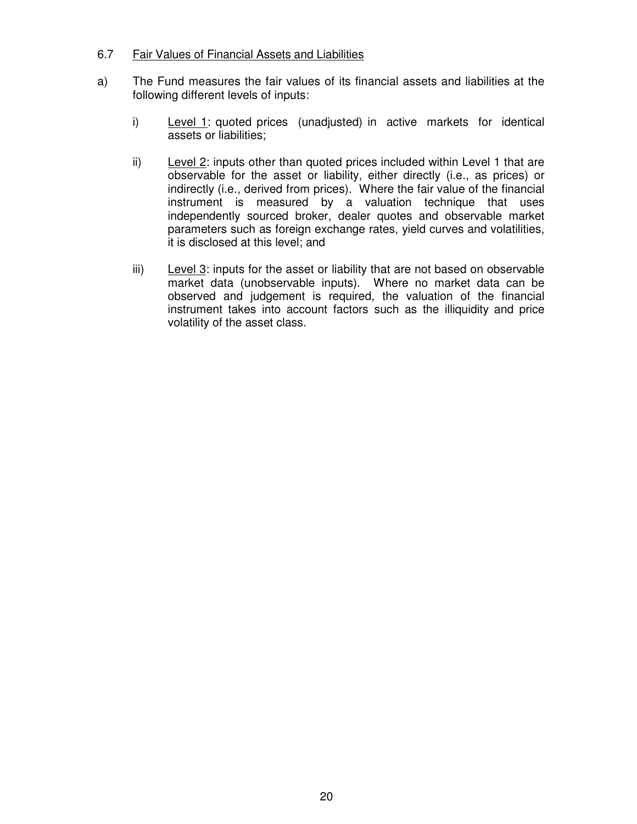#### 6.7 Fair Values of Financial Assets and Liabilities

- a) The Fund measures the fair values of its financial assets and liabilities at the following different levels of inputs:
	- i) Level 1: quoted prices (unadjusted) in active markets for identical assets or liabilities;
	- ii) Level 2: inputs other than quoted prices included within Level 1 that are observable for the asset or liability, either directly (i.e., as prices) or indirectly (i.e., derived from prices). Where the fair value of the financial instrument is measured by a valuation technique that uses independently sourced broker, dealer quotes and observable market parameters such as foreign exchange rates, yield curves and volatilities, it is disclosed at this level; and
	- iii) Level 3: inputs for the asset or liability that are not based on observable market data (unobservable inputs). Where no market data can be observed and judgement is required, the valuation of the financial instrument takes into account factors such as the illiquidity and price volatility of the asset class.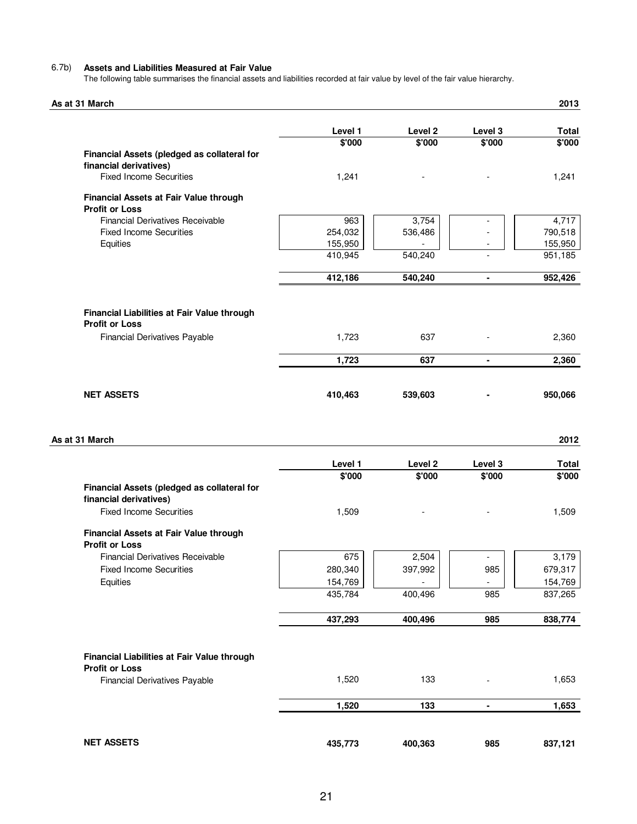#### 6.7b) **Assets and Liabilities Measured at Fair Value**

The following table summarises the financial assets and liabilities recorded at fair value by level of the fair value hierarchy.

| As at 31 March                                                       |                    |         |                | 2013               |
|----------------------------------------------------------------------|--------------------|---------|----------------|--------------------|
|                                                                      | Level 1            | Level 2 | Level 3        | <b>Total</b>       |
|                                                                      | \$'000             | \$'000  | \$'000         | \$'000             |
| Financial Assets (pledged as collateral for                          |                    |         |                |                    |
| financial derivatives)                                               |                    |         |                |                    |
| <b>Fixed Income Securities</b>                                       | 1,241              |         |                | 1,241              |
| Financial Assets at Fair Value through                               |                    |         |                |                    |
| <b>Profit or Loss</b>                                                |                    |         |                |                    |
| <b>Financial Derivatives Receivable</b>                              | 963                | 3,754   |                | 4,717              |
| <b>Fixed Income Securities</b>                                       | 254,032            | 536,486 |                | 790,518            |
| Equities                                                             | 155,950<br>410,945 | 540,240 |                | 155,950<br>951,185 |
|                                                                      |                    |         |                |                    |
|                                                                      | 412,186            | 540,240 | ٠              | 952,426            |
| Financial Liabilities at Fair Value through<br><b>Profit or Loss</b> |                    |         |                |                    |
| <b>Financial Derivatives Payable</b>                                 | 1,723              | 637     |                | 2,360              |
|                                                                      | 1,723              | 637     | $\blacksquare$ | 2,360              |
| <b>NET ASSETS</b>                                                    | 410,463            | 539,603 |                | 950,066            |
| As at 31 March                                                       |                    |         |                | 2012               |
|                                                                      | Level 1            | Level 2 | Level 3        | <b>Total</b>       |
| Financial Assets (pledged as collateral for                          | \$'000             | \$'000  | \$'000         | \$'000             |
| financial derivatives)                                               |                    |         |                |                    |
| <b>Fixed Income Securities</b>                                       | 1,509              |         |                | 1,509              |
| Financial Assets at Fair Value through                               |                    |         |                |                    |
| <b>Profit or Loss</b>                                                |                    |         |                |                    |
| <b>Financial Derivatives Receivable</b>                              | 675                | 2,504   |                | 3,179              |
| <b>Fixed Income Securities</b>                                       | 280,340            | 397,992 | 985            | 679,317            |
| Equities                                                             | 154,769<br>435,784 | 400,496 | 985            | 154,769<br>837,265 |
|                                                                      |                    |         |                |                    |
|                                                                      | 437,293            | 400,496 | 985            | 838,774            |
| Financial Liabilities at Fair Value through                          |                    |         |                |                    |
| <b>Profit or Loss</b>                                                |                    |         |                |                    |
| <b>Financial Derivatives Payable</b>                                 | 1,520              | 133     |                | 1,653              |
|                                                                      | 1,520              | 133     | $\blacksquare$ | 1,653              |
|                                                                      |                    |         |                |                    |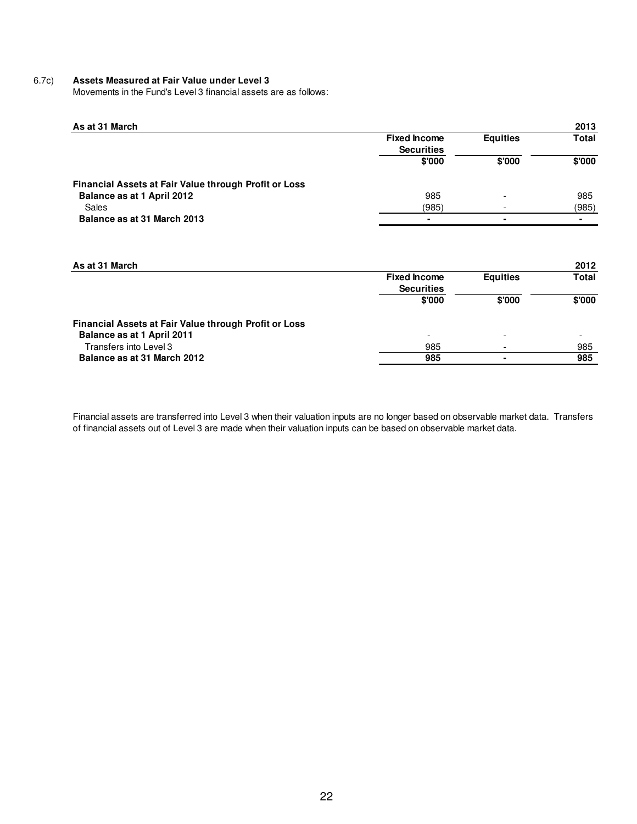#### 6.7c) **Assets Measured at Fair Value under Level 3**

Movements in the Fund's Level 3 financial assets are as follows:

| As at 31 March                                        |                                          |                          | 2013           |
|-------------------------------------------------------|------------------------------------------|--------------------------|----------------|
|                                                       | <b>Fixed Income</b><br><b>Securities</b> | <b>Equities</b>          | <b>Total</b>   |
|                                                       | \$'000                                   | \$'000                   | \$'000         |
| Financial Assets at Fair Value through Profit or Loss |                                          |                          |                |
| Balance as at 1 April 2012                            | 985                                      |                          | 985            |
| Sales                                                 | (985)                                    |                          | (985)          |
| Balance as at 31 March 2013                           | $\overline{\phantom{0}}$                 | $\overline{\phantom{0}}$ | $\blacksquare$ |

| As at 31 March                                        |                          |                          | 2012                     |
|-------------------------------------------------------|--------------------------|--------------------------|--------------------------|
|                                                       | <b>Fixed Income</b>      | <b>Equities</b>          | <b>Total</b>             |
|                                                       | <b>Securities</b>        |                          |                          |
|                                                       | \$'000                   | \$'000                   | \$'000                   |
| Financial Assets at Fair Value through Profit or Loss |                          |                          |                          |
| Balance as at 1 April 2011                            | $\overline{\phantom{a}}$ | $\overline{\phantom{a}}$ | $\overline{\phantom{0}}$ |
| Transfers into Level 3                                | 985                      |                          | 985                      |
| Balance as at 31 March 2012                           | 985                      |                          | 985                      |

Financial assets are transferred into Level 3 when their valuation inputs are no longer based on observable market data. Transfers of financial assets out of Level 3 are made when their valuation inputs can be based on observable market data.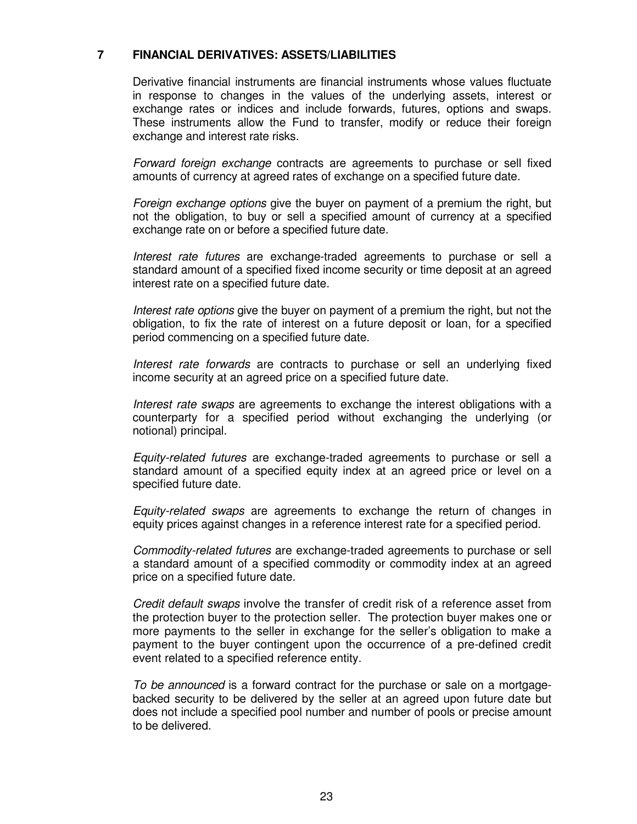#### **7 FINANCIAL DERIVATIVES: ASSETS/LIABILITIES**

Derivative financial instruments are financial instruments whose values fluctuate in response to changes in the values of the underlying assets, interest or exchange rates or indices and include forwards, futures, options and swaps. These instruments allow the Fund to transfer, modify or reduce their foreign exchange and interest rate risks.

Forward foreign exchange contracts are agreements to purchase or sell fixed amounts of currency at agreed rates of exchange on a specified future date.

Foreign exchange options give the buyer on payment of a premium the right, but not the obligation, to buy or sell a specified amount of currency at a specified exchange rate on or before a specified future date.

Interest rate futures are exchange-traded agreements to purchase or sell a standard amount of a specified fixed income security or time deposit at an agreed interest rate on a specified future date.

Interest rate options give the buyer on payment of a premium the right, but not the obligation, to fix the rate of interest on a future deposit or loan, for a specified period commencing on a specified future date.

Interest rate forwards are contracts to purchase or sell an underlying fixed income security at an agreed price on a specified future date.

 Interest rate swaps are agreements to exchange the interest obligations with a counterparty for a specified period without exchanging the underlying (or notional) principal.

Equity-related futures are exchange-traded agreements to purchase or sell a standard amount of a specified equity index at an agreed price or level on a specified future date.

Equity-related swaps are agreements to exchange the return of changes in equity prices against changes in a reference interest rate for a specified period.

Commodity-related futures are exchange-traded agreements to purchase or sell a standard amount of a specified commodity or commodity index at an agreed price on a specified future date.

Credit default swaps involve the transfer of credit risk of a reference asset from the protection buyer to the protection seller. The protection buyer makes one or more payments to the seller in exchange for the seller's obligation to make a payment to the buyer contingent upon the occurrence of a pre-defined credit event related to a specified reference entity.

To be announced is a forward contract for the purchase or sale on a mortgagebacked security to be delivered by the seller at an agreed upon future date but does not include a specified pool number and number of pools or precise amount to be delivered.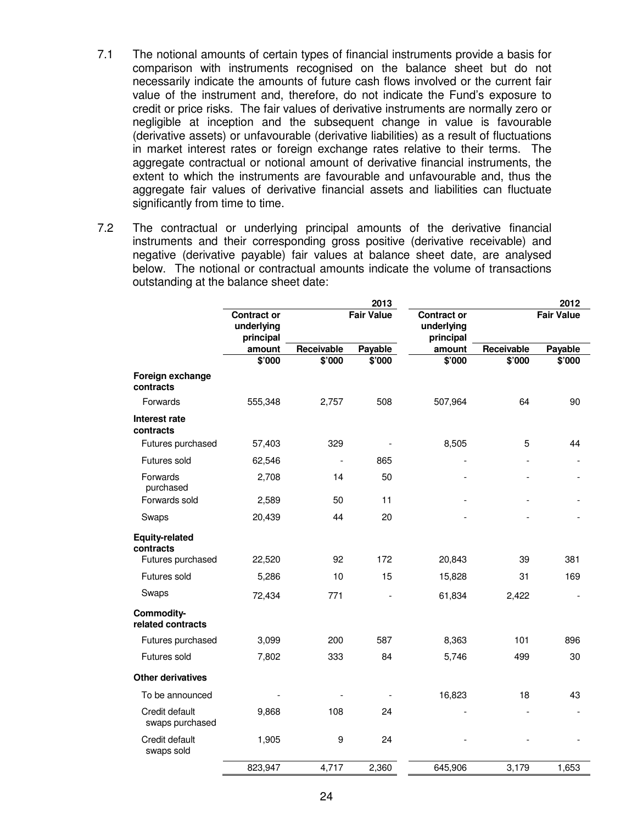- 7.1 The notional amounts of certain types of financial instruments provide a basis for comparison with instruments recognised on the balance sheet but do not necessarily indicate the amounts of future cash flows involved or the current fair value of the instrument and, therefore, do not indicate the Fund's exposure to credit or price risks. The fair values of derivative instruments are normally zero or negligible at inception and the subsequent change in value is favourable (derivative assets) or unfavourable (derivative liabilities) as a result of fluctuations in market interest rates or foreign exchange rates relative to their terms. The aggregate contractual or notional amount of derivative financial instruments, the extent to which the instruments are favourable and unfavourable and, thus the aggregate fair values of derivative financial assets and liabilities can fluctuate significantly from time to time.
- 7.2 The contractual or underlying principal amounts of the derivative financial instruments and their corresponding gross positive (derivative receivable) and negative (derivative payable) fair values at balance sheet date, are analysed below. The notional or contractual amounts indicate the volume of transactions outstanding at the balance sheet date:

|                                    | 2013                                          |                   |                          |                                               | 2012              |         |
|------------------------------------|-----------------------------------------------|-------------------|--------------------------|-----------------------------------------------|-------------------|---------|
|                                    | <b>Contract or</b><br>underlying<br>principal | <b>Fair Value</b> |                          | <b>Contract or</b><br>underlying<br>principal | <b>Fair Value</b> |         |
|                                    | amount                                        | Receivable        | Payable                  | amount                                        | Receivable        | Payable |
|                                    | \$'000                                        | \$'000            | $\frac{1}{2000}$         | \$'000                                        | \$'000            | \$'000  |
| Foreign exchange<br>contracts      |                                               |                   |                          |                                               |                   |         |
| Forwards                           | 555,348                                       | 2,757             | 508                      | 507,964                                       | 64                | 90      |
| Interest rate<br>contracts         |                                               |                   |                          |                                               |                   |         |
| Futures purchased                  | 57,403                                        | 329               |                          | 8,505                                         | 5                 | 44      |
| Futures sold                       | 62,546                                        |                   | 865                      |                                               |                   |         |
| Forwards<br>purchased              | 2,708                                         | 14                | 50                       |                                               |                   |         |
| Forwards sold                      | 2,589                                         | 50                | 11                       |                                               |                   |         |
| Swaps                              | 20,439                                        | 44                | 20                       |                                               |                   |         |
| <b>Equity-related</b><br>contracts |                                               |                   |                          |                                               |                   |         |
| Futures purchased                  | 22,520                                        | 92                | 172                      | 20,843                                        | 39                | 381     |
| Futures sold                       | 5,286                                         | 10                | 15                       | 15,828                                        | 31                | 169     |
| Swaps                              | 72,434                                        | 771               | $\overline{\phantom{a}}$ | 61,834                                        | 2,422             |         |
| Commodity-<br>related contracts    |                                               |                   |                          |                                               |                   |         |
| Futures purchased                  | 3,099                                         | 200               | 587                      | 8,363                                         | 101               | 896     |
| Futures sold                       | 7,802                                         | 333               | 84                       | 5,746                                         | 499               | 30      |
| <b>Other derivatives</b>           |                                               |                   |                          |                                               |                   |         |
| To be announced                    |                                               |                   |                          | 16,823                                        | 18                | 43      |
| Credit default<br>swaps purchased  | 9,868                                         | 108               | 24                       |                                               |                   |         |
| Credit default<br>swaps sold       | 1,905                                         | 9                 | 24                       |                                               |                   |         |
|                                    | 823,947                                       | 4,717             | 2,360                    | 645,906                                       | 3,179             | 1,653   |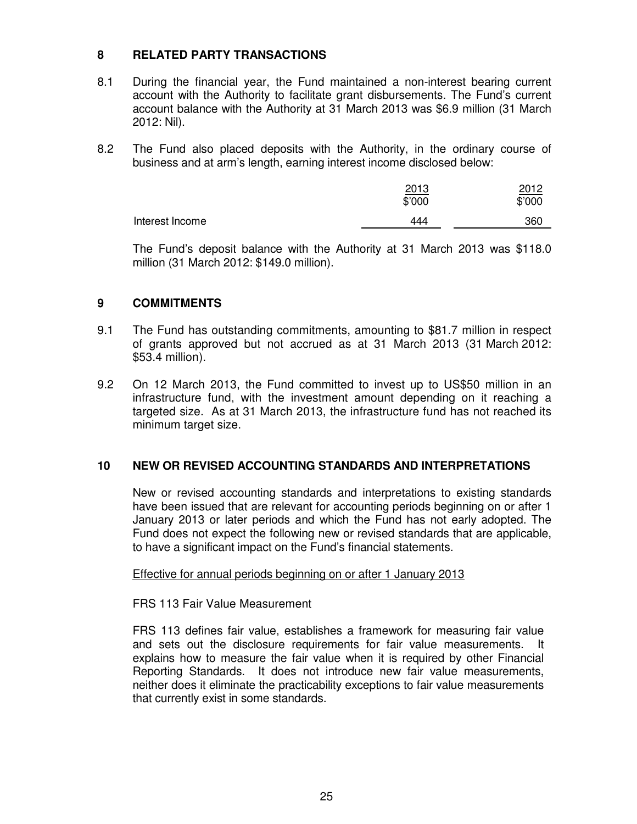#### **8 RELATED PARTY TRANSACTIONS**

- 8.1 During the financial year, the Fund maintained a non-interest bearing current account with the Authority to facilitate grant disbursements. The Fund's current account balance with the Authority at 31 March 2013 was \$6.9 million (31 March 2012: Nil).
- 8.2 The Fund also placed deposits with the Authority, in the ordinary course of business and at arm's length, earning interest income disclosed below:

|                 | 2013<br>\$'000 | <u> 2012</u><br>\$'000 |
|-----------------|----------------|------------------------|
| Interest Income | 444            | 360                    |

 The Fund's deposit balance with the Authority at 31 March 2013 was \$118.0 million (31 March 2012: \$149.0 million).

#### **9 COMMITMENTS**

- 9.1 The Fund has outstanding commitments, amounting to \$81.7 million in respect of grants approved but not accrued as at 31 March 2013 (31 March 2012: \$53.4 million).
- 9.2 On 12 March 2013, the Fund committed to invest up to US\$50 million in an infrastructure fund, with the investment amount depending on it reaching a targeted size. As at 31 March 2013, the infrastructure fund has not reached its minimum target size.

#### **10 NEW OR REVISED ACCOUNTING STANDARDS AND INTERPRETATIONS**

New or revised accounting standards and interpretations to existing standards have been issued that are relevant for accounting periods beginning on or after 1 January 2013 or later periods and which the Fund has not early adopted. The Fund does not expect the following new or revised standards that are applicable, to have a significant impact on the Fund's financial statements.

#### Effective for annual periods beginning on or after 1 January 2013

#### FRS 113 Fair Value Measurement

FRS 113 defines fair value, establishes a framework for measuring fair value and sets out the disclosure requirements for fair value measurements. It explains how to measure the fair value when it is required by other Financial Reporting Standards. It does not introduce new fair value measurements, neither does it eliminate the practicability exceptions to fair value measurements that currently exist in some standards.